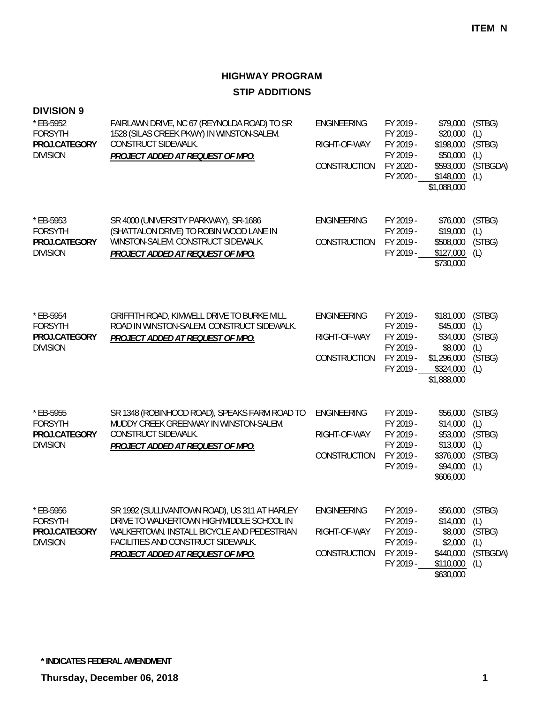# **HIGHWAY PROGRAM STIP ADDITIONS**

| <b>DIVISION 9</b><br>* EB-5952<br><b>FORSYTH</b><br>PROJ.CATEGORY<br><b>DIVISION</b> | FAIRLAWN DRIVE, NC 67 (REYNOLDA ROAD) TO SR<br>1528 (SILAS CREEK PKWY) IN WINSTON-SALEM.<br>CONSTRUCT SIDEWALK.<br>PROJECT ADDED AT REQUEST OF MPO.                                                                       | <b>ENGINEERING</b><br>RIGHT-OF-WAY<br>CONSTRUCTION | FY 2019 -<br>FY 2019 -<br>FY 2019 -<br>FY 2019 -<br>FY 2020 -<br>FY 2020 - | \$79,000<br>\$20,000<br>\$198,000<br>\$50,000<br>\$593,000<br>\$148,000<br>\$1,088,000  | (STBG)<br>(L)<br>(STBG)<br>(L)<br>(STBGDA)<br>(L) |
|--------------------------------------------------------------------------------------|---------------------------------------------------------------------------------------------------------------------------------------------------------------------------------------------------------------------------|----------------------------------------------------|----------------------------------------------------------------------------|-----------------------------------------------------------------------------------------|---------------------------------------------------|
| * EB-5953<br><b>FORSYTH</b><br>PROJ.CATEGORY<br><b>DIVISION</b>                      | SR 4000 (UNIVERSITY PARKWAY), SR-1686<br>(SHATTALON DRIVE) TO ROBIN WOOD LANE IN<br>WINSTON-SALEM. CONSTRUCT SIDEWALK.<br><b>PROJECT ADDED AT REQUEST OF MPO.</b>                                                         | <b>ENGINEERING</b><br>CONSTRUCTION                 | FY 2019 -<br>FY 2019 -<br>FY 2019 -<br>FY 2019 -                           | \$76,000<br>\$19,000<br>\$508,000<br>\$127,000<br>\$730,000                             | (STBG)<br>(L)<br>(STBG)<br>(L)                    |
| * EB-5954<br><b>FORSYTH</b><br>PROJ.CATEGORY<br><b>DIVISION</b>                      | GRIFFITH ROAD, KIMWELL DRIVE TO BURKE MILL<br>ROAD IN WINSTON-SALEM. CONSTRUCT SIDEWALK.<br>PROJECT ADDED AT REQUEST OF MPO.                                                                                              | <b>ENGINEERING</b><br>RIGHT-OF-WAY<br>CONSTRUCTION | FY 2019 -<br>FY 2019 -<br>FY 2019 -<br>FY 2019 -<br>FY 2019 -<br>FY 2019 - | \$181,000<br>\$45,000<br>\$34,000<br>\$8,000<br>\$1,296,000<br>\$324,000<br>\$1,888,000 | (STBG)<br>(L)<br>(STBG)<br>(L)<br>(STBG)<br>(L)   |
| * EB-5955<br><b>FORSYTH</b><br>PROJ.CATEGORY<br><b>DIVISION</b>                      | SR 1348 (ROBINHOOD ROAD), SPEAKS FARM ROAD TO<br>MUDDY CREEK GREENWAY IN WINSTON-SALEM.<br>CONSTRUCT SIDEWALK.<br>PROJECT ADDED AT REQUEST OF MPO.                                                                        | ENGINEERING<br>RIGHT-OF-WAY<br><b>CONSTRUCTION</b> | FY 2019 -<br>FY 2019 -<br>FY 2019 -<br>FY 2019 -<br>FY 2019 -<br>FY 2019 - | \$56,000<br>\$14,000<br>\$53,000<br>\$13,000<br>\$376,000<br>\$94,000<br>\$606,000      | (STBG)<br>(L)<br>(STBG)<br>(L)<br>(STBG)<br>(L)   |
| * EB-5956<br><b>FORSYTH</b><br>PROJ.CATEGORY<br><b>DIVISION</b>                      | SR 1992 (SULLIVANTOWN ROAD), US 311 AT HARLEY<br>DRIVE TO WALKERTOWN HIGH/MIDDLE SCHOOL IN<br>WALKERTOWN. INSTALL BICYCLE AND PEDESTRIAN<br>FACILITIES AND CONSTRUCT SIDEWALK.<br><b>PROJECT ADDED AT REQUEST OF MPO.</b> | <b>ENGINEERING</b><br>RIGHT-OF-WAY<br>CONSTRUCTION | FY 2019 -<br>FY 2019 -<br>FY 2019 -<br>FY 2019 -<br>FY 2019 -<br>FY 2019 - | \$56,000<br>\$14,000<br>\$8,000<br>\$2,000<br>\$440,000<br>\$110,000<br>\$630,000       | (STBG)<br>(L)<br>(STBG)<br>(L)<br>(STBGDA)<br>(L) |

**\* INDICATES FEDERAL AMENDMENT**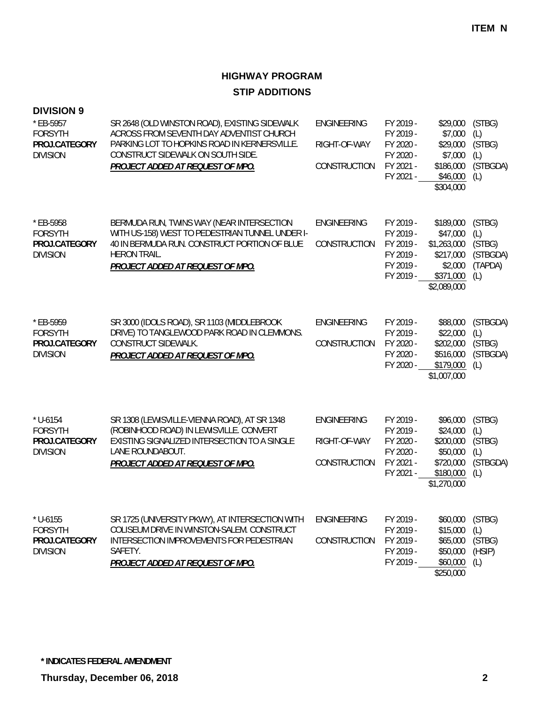# **HIGHWAY PROGRAM STIP ADDITIONS**

| <b>DIVISION 9</b><br>* EB-5957<br><b>FORSYTH</b><br>PROJ.CATEGORY<br><b>DIVISION</b> | SR 2648 (OLD WINSTON ROAD), EXISTING SIDEWALK<br>ACROSS FROM SEVENTH DAY ADVENTIST CHURCH<br>PARKING LOT TO HOPKINS ROAD IN KERNERSVILLE.<br>CONSTRUCT SIDEWALK ON SOUTH SIDE.<br>PROJECT ADDED AT REQUEST OF MPO. | <b>ENGINEERING</b><br>RIGHT-OF-WAY<br>CONSTRUCTION | FY 2019 -<br>FY 2019 -<br>FY 2020 -<br>FY 2020 -<br>FY 2021 -<br>FY 2021 - | \$29,000<br>\$7,000<br>\$29,000<br>\$7,000<br>\$186,000<br>\$46,000<br>\$304,000         | (STBG)<br>(L)<br>(STBG)<br>(L)<br>(STBGDA)<br>(L)     |
|--------------------------------------------------------------------------------------|--------------------------------------------------------------------------------------------------------------------------------------------------------------------------------------------------------------------|----------------------------------------------------|----------------------------------------------------------------------------|------------------------------------------------------------------------------------------|-------------------------------------------------------|
| * EB-5958<br><b>FORSYTH</b><br>PROJ.CATEGORY<br><b>DIVISION</b>                      | BERMUDA RUN, TWINS WAY (NEAR INTERSECTION<br>WITH US-158) WEST TO PEDESTRIAN TUNNEL UNDER I-<br>40 IN BERMUDA RUN. CONSTRUCT PORTION OF BLUE<br><b>HERON TRAIL.</b><br>PROJECT ADDED AT REQUEST OF MPO.            | <b>ENGINEERING</b><br>CONSTRUCTION                 | FY 2019 -<br>FY 2019 -<br>FY 2019 -<br>FY 2019 -<br>FY 2019 -<br>FY 2019 - | \$189,000<br>\$47,000<br>\$1,263,000<br>\$217,000<br>\$2,000<br>\$371,000<br>\$2,089,000 | (STBG)<br>(L)<br>(STBG)<br>(STBGDA)<br>(TAPDA)<br>(L) |
| * EB-5959<br><b>FORSYTH</b><br>PROJ.CATEGORY<br><b>DIVISION</b>                      | SR 3000 (IDOLS ROAD), SR 1103 (MIDDLEBROOK<br>DRIVE) TO TANGLEWOOD PARK ROAD IN CLEMMONS.<br>CONSTRUCT SIDEWALK.<br>PROJECT ADDED AT REQUEST OF MPO.                                                               | <b>ENGINEERING</b><br>CONSTRUCTION                 | FY 2019 -<br>FY 2019 -<br>FY 2020 -<br>FY 2020 -<br>FY 2020 -              | \$88,000<br>\$22,000<br>\$202,000<br>\$516,000<br>\$179,000<br>\$1,007,000               | (STBGDA)<br>(L)<br>(STBG)<br>(STBGDA)<br>(L)          |
| $*$ U-6154<br><b>FORSYTH</b><br>PROJ.CATEGORY<br><b>DIVISION</b>                     | SR 1308 (LEWISVILLE-VIENNA ROAD), AT SR 1348<br>(ROBINHOOD ROAD) IN LEWISVILLE. CONVERT<br>EXISTING SIGNALIZED INTERSECTION TO A SINGLE<br>LANE ROUNDABOUT.<br>PROJECT ADDED AT REQUEST OF MPO.                    | ENGINEERING<br>RIGHT-OF-WAY<br>CONSTRUCTION        | FY 2019 -<br>FY 2019 -<br>FY 2020 -<br>FY 2020 -<br>FY 2021 -<br>FY 2021 - | \$96,000<br>\$24,000<br>\$200,000<br>\$50,000<br>\$720,000<br>\$180,000<br>\$1,270,000   | (STBG)<br>(L)<br>(STBG)<br>(L)<br>(STBGDA)<br>(L)     |
| $*$ U-6155<br><b>FORSYTH</b><br>PROJ.CATEGORY<br><b>DIVISION</b>                     | SR 1725 (UNIVERSITY PKWY), AT INTERSECTION WITH<br>COLISEUM DRIVE IN WINSTON-SALEM. CONSTRUCT<br>INTERSECTION IMPROVEMENTS FOR PEDESTRIAN<br>SAFETY.<br><b>PROJECT ADDED AT REQUEST OF MPO.</b>                    | <b>ENGINEERING</b><br>CONSTRUCTION                 | FY 2019 -<br>FY 2019 -<br>FY 2019 -<br>FY 2019 -<br>FY 2019 -              | \$60,000<br>\$15,000<br>\$65,000<br>\$50,000<br>\$60,000<br>\$250,000                    | (STBG)<br>(L)<br>(STBG)<br>(HSIP)<br>(L)              |

**\* INDICATES FEDERAL AMENDMENT**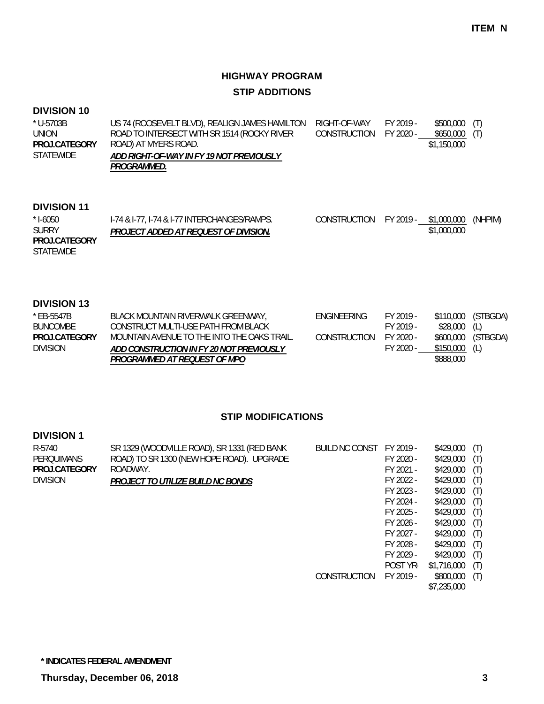### **HIGHWAY PROGRAM STIP ADDITIONS**

#### **DIVISION 10**

| * U-5703B        | US 74 (ROOSEVELT BLVD), REALIGN JAMES HAMILTON | RIGHT-OF-WAY           | FY 2019 - | \$500,000 (T) |  |
|------------------|------------------------------------------------|------------------------|-----------|---------------|--|
| UNION            | ROAD TO INTERSECT WITH SR 1514 (ROCKY RIVER    | CONSTRUCTION FY 2020 - |           | \$650,000 (T) |  |
| PROJ.CATEGORY    | ROAD) AT MYERS ROAD.                           |                        |           | \$1,150,000   |  |
| <b>STATEWIDE</b> | ADD RIGHT-OF-WAY IN FY 19 NOT PREVIOUSLY       |                        |           |               |  |
|                  | <i>PROGRAMMED.</i>                             |                        |           |               |  |

#### **DIVISION 11**

| $*$ 1-6050       | 1-74 & 1-77, 1-74 & 1-77 INTERCHANGES/RAMPS. | CONSTRUCTION FY 2019 - \$1,000,000 |             | (NHPIM) |
|------------------|----------------------------------------------|------------------------------------|-------------|---------|
| <b>SURRY</b>     | PROJECT ADDED AT REQUEST OF DIVISION.        |                                    | \$1,000,000 |         |
| PROJ.CATEGORY    |                                              |                                    |             |         |
| <b>STATEWIDE</b> |                                              |                                    |             |         |

#### **DIVISION 13**

| * EB-5547B           | BLACK MOUNTAIN RIVERWALK GREENWAY,          | <b>FNGINFFRING</b> | FY 2019 - |                | \$110,000 (STBGDA) |
|----------------------|---------------------------------------------|--------------------|-----------|----------------|--------------------|
| BUNCOMBE             | CONSTRUCT MULTI-USE PATH FROM BLACK         |                    | FY 2019 - | \$28,000 (L)   |                    |
| <b>PROJ CATEGORY</b> | MOUNTAIN AVENUE TO THE INTO THE OAKS TRAIL. | CONSTRUCTION       | FY 2020 - |                | \$600,000 (STBGDA) |
| <b>DIVISION</b>      | ADD CONSTRUCTION IN FY 20 NOT PREVIOUSLY    |                    | FY 2020 - | $$150,000$ (L) |                    |
|                      | PROGRAMMED AT REOUEST OF MPO                |                    |           | \$888,000      |                    |

#### **STIP MODIFICATIONS**

#### **DIVISION 1** SR 1329 (WOODVILLE ROAD), SR 1331 (RED BANK ROAD) TO SR 1300 (NEW HOPE ROAD). UPGRADE ROADWAY. *PROJECT TO UTILIZE BUILD NC BONDS* R-5740 PERQUIMANS DIVISION **PROJ.CATEGORY**

| BUILD NC CONST | FY 2019 - | \$429,000   | (T) |
|----------------|-----------|-------------|-----|
|                | FY 2020 - | \$429,000   | (T) |
|                | FY 2021 - | \$429,000   | (T) |
|                | FY 2022 - | \$429,000   | (T) |
|                | FY 2023 - | \$429,000   | (T) |
|                | FY 2024 - | \$429,000   | (T) |
|                | FY 2025 - | \$429,000   | (T) |
|                | FY 2026 - | \$429,000   | (T) |
|                | FY 2027 - | \$429,000   | (T) |
|                | FY 2028 - | \$429,000   | (T) |
|                | FY 2029 - | \$429,000   | (T) |
|                | POST YR-  | \$1,716,000 | (T) |
| CONSTRUCTION   | FY 2019 - | \$800,000   | (T) |
|                |           | \$7,235,000 |     |
|                |           |             |     |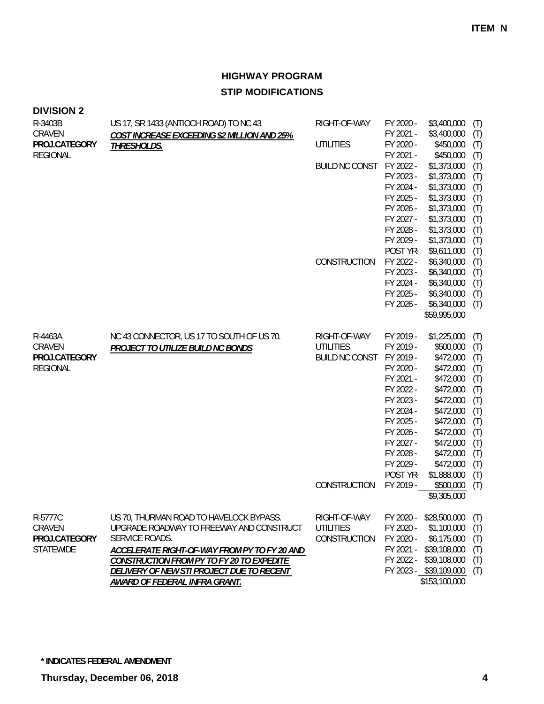| <b>DIVISION 2</b> |  |  |  |
|-------------------|--|--|--|
|-------------------|--|--|--|

| R-3403B          | US 17, SR 1433 (ANTIOCH ROAD) TO NC 43       | RIGHT-OF-WAY          | FY 2020 - | \$3,400,000                | (T) |
|------------------|----------------------------------------------|-----------------------|-----------|----------------------------|-----|
| CRAVEN           | COST INCREASE EXCEEDING \$2 MILLION AND 25%  |                       | FY 2021 - | \$3,400,000                | (T) |
| PROJ.CATEGORY    | THRESHOLDS.                                  | <b>UTILITIES</b>      | FY 2020 - | \$450,000                  | (T) |
| <b>REGIONAL</b>  |                                              |                       | FY 2021 - | \$450,000                  | (T) |
|                  |                                              | <b>BUILD NC CONST</b> | FY 2022 - | \$1,373,000                | (T) |
|                  |                                              |                       | FY 2023 - | \$1,373,000                | (T) |
|                  |                                              |                       | FY 2024 - | \$1,373,000                | (T) |
|                  |                                              |                       | FY 2025 - | \$1,373,000                | (T) |
|                  |                                              |                       | FY 2026 - | \$1,373,000                | (T) |
|                  |                                              |                       | FY 2027 - | \$1,373,000                | (T) |
|                  |                                              |                       | FY 2028 - | \$1,373,000                | (T) |
|                  |                                              |                       | FY 2029 - | \$1,373,000                | (T) |
|                  |                                              |                       | POST YR-  | \$9,611,000                | (T) |
|                  |                                              | CONSTRUCTION          | FY 2022 - | \$6,340,000                | (T) |
|                  |                                              |                       | FY 2023 - | \$6,340,000                | (T) |
|                  |                                              |                       | FY 2024 - | \$6,340,000                | (T) |
|                  |                                              |                       | FY 2025 - | \$6,340,000                | (T) |
|                  |                                              |                       | FY 2026 - | \$6,340,000                | (T) |
|                  |                                              |                       |           | \$59,995,000               |     |
| R-4463A          | NC 43 CONNECTOR, US 17 TO SOUTH OF US 70.    | RIGHT-OF-WAY          | FY 2019 - | \$1,225,000                | (T) |
| CRAVEN           | <b>PROJECT TO UTILIZE BUILD NC BONDS</b>     | <b>UTILITIES</b>      | FY 2019 - | \$500,000                  | (T) |
| PROJ.CATEGORY    |                                              | <b>BUILD NC CONST</b> | FY 2019 - | \$472,000                  | (T) |
| <b>REGIONAL</b>  |                                              |                       | FY 2020 - | \$472,000                  | (T) |
|                  |                                              |                       | FY 2021 - | \$472,000                  | (T) |
|                  |                                              |                       | FY 2022 - | \$472,000                  | (T) |
|                  |                                              |                       | FY 2023 - | \$472,000                  | (T) |
|                  |                                              |                       | FY 2024 - | \$472,000                  | (T) |
|                  |                                              |                       | FY 2025 - | \$472,000                  | (T) |
|                  |                                              |                       | FY 2026 - | \$472,000                  | (T) |
|                  |                                              |                       | FY 2027 - | \$472,000                  | (T) |
|                  |                                              |                       | FY 2028 - | \$472,000                  | (T) |
|                  |                                              |                       | FY 2029 - | \$472,000                  | (T) |
|                  |                                              |                       | POST YR-  | \$1,888,000                | (T) |
|                  |                                              | CONSTRUCTION          | FY 2019 - | \$500,000                  | (T) |
|                  |                                              |                       |           | \$9,305,000                |     |
| R-5777C          | US 70, THURMAN ROAD TO HAVELOCK BYPASS.      | RIGHT-OF-WAY          |           | FY 2020 - \$28,500,000 (T) |     |
| CRAVEN           | UPGRADE ROADWAY TO FREEWAY AND CONSTRUCT     | <b>UTILITIES</b>      | FY 2020 - | \$1,100,000                | (T) |
| PROJ.CATEGORY    | SERVICE ROADS.                               | CONSTRUCTION          | FY 2020 - | \$6,175,000                | (T) |
| <b>STATEWIDE</b> | ACCELERATE RIGHT-OF-WAY FROM PY TO FY 20 AND |                       |           | FY 2021 - \$39,108,000     | (T) |
|                  | CONSTRUCTION FROM PY TO FY 20 TO EXPEDITE    |                       |           | FY 2022 - \$39,108,000     | (T) |
|                  | DELIVERY OF NEW STI PROJECT DUE TO RECENT    |                       |           | FY 2023 - \$39,109,000     | (T) |
|                  | AWARD OF FEDERAL INFRA GRANT.                |                       |           | \$153,100,000              |     |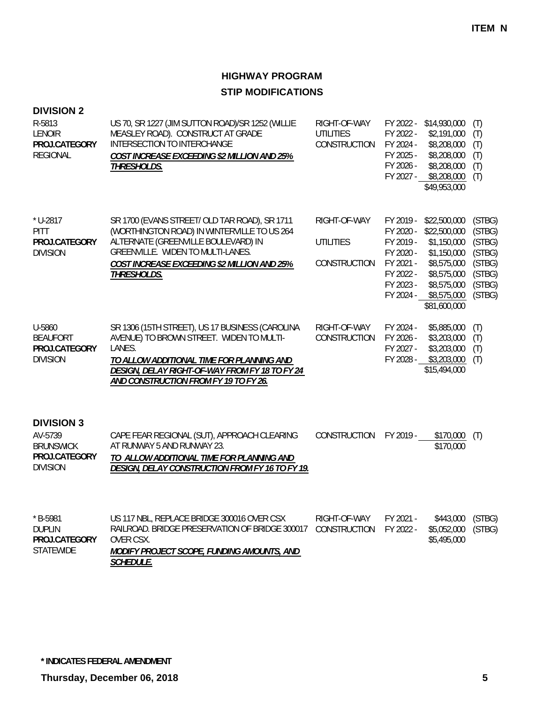| <b>DIVISION 2</b><br>R-5813<br><b>LENOIR</b><br>PROJ.CATEGORY<br><b>REGIONAL</b>     | US 70, SR 1227 (JIM SUTTON ROAD)/SR 1252 (WILLIE<br>MEASLEY ROAD). CONSTRUCT AT GRADE<br>INTERSECTION TO INTERCHANGE<br>COST INCREASE EXCEEDING \$2 MILLION AND 25%<br>THRESHOLDS.                                                            | RIGHT-OF-WAY<br><b>UTILITIES</b><br>CONSTRUCTION | FY 2022 -<br>FY 2024 -<br>FY 2025 -<br>FY 2026 -<br>FY 2027 -                                        | FY 2022 - \$14,930,000<br>\$2,191,000<br>\$8,208,000<br>\$8,208,000<br>\$8,208,000<br>\$8,208,000<br>\$49,953,000                      | (T)<br>(T)<br>(T)<br>(T)<br>(T)<br>(T)                                       |
|--------------------------------------------------------------------------------------|-----------------------------------------------------------------------------------------------------------------------------------------------------------------------------------------------------------------------------------------------|--------------------------------------------------|------------------------------------------------------------------------------------------------------|----------------------------------------------------------------------------------------------------------------------------------------|------------------------------------------------------------------------------|
| * U-2817<br>PITT<br>PROJ.CATEGORY<br><b>DIVISION</b>                                 | SR 1700 (EVANS STREET/ OLD TAR ROAD), SR 1711<br>(WORTHINGTON ROAD) IN WINTERVILLE TO US 264<br>ALTERNATE (GREENVILLE BOULEVARD) IN<br>GREENVILLE. WIDEN TO MULTI-LANES.<br>COST INCREASE EXCEEDING \$2 MILLION AND 25%<br><b>THRESHOLDS.</b> | RIGHT-OF-WAY<br><b>UTILITIES</b><br>CONSTRUCTION | FY 2019 -<br>FY 2020 -<br>FY 2019 -<br>FY 2020 -<br>FY 2021 -<br>FY 2022 -<br>FY 2023 -<br>FY 2024 - | \$22,500,000<br>\$22,500,000<br>\$1,150,000<br>\$1,150,000<br>\$8,575,000<br>\$8,575,000<br>\$8,575,000<br>\$8,575,000<br>\$81,600,000 | (STBG)<br>(STBG)<br>(STBG)<br>(STBG)<br>(STBG)<br>(STBG)<br>(STBG)<br>(STBG) |
| U-5860<br><b>BEAUFORT</b><br>PROJ.CATEGORY<br><b>DIVISION</b>                        | SR 1306 (15TH STREET), US 17 BUSINESS (CAROLINA<br>AVENUE) TO BROWN STREET. WIDEN TO MULTI-<br>LANES.<br>TO ALLOW ADDITIONAL TIME FOR PLANNING AND<br>DESIGN, DELAY RIGHT-OF-WAY FROM FY 18 TO FY 24<br>AND CONSTRUCTION FROM FY 19 TO FY 26. | RIGHT-OF-WAY<br>CONSTRUCTION                     | FY 2024 -<br>FY 2026 -<br>FY 2027 -<br>FY 2028 -                                                     | \$5,885,000<br>\$3,203,000<br>\$3,203,000<br>\$3,203,000<br>\$15,494,000                                                               | (T)<br>(T)<br>(T)<br>(T)                                                     |
| <b>DIVISION 3</b><br>AV-5739<br><b>BRUNSWICK</b><br>PROJ.CATEGORY<br><b>DIVISION</b> | CAPE FEAR REGIONAL (SUT), APPROACH CLEARING<br>AT RUNWAY 5 AND RUNWAY 23.<br>TO ALLOW ADDITIONAL TIME FOR PLANNING AND<br>DESIGN, DELAY CONSTRUCTION FROM FY 16 TO FY 19.                                                                     | CONSTRUCTION                                     | FY 2019 -                                                                                            | \$170,000<br>\$170,000                                                                                                                 | (T)                                                                          |
| $*$ B-5981<br><b>DUPLIN</b><br>PROJ.CATEGORY<br><b>STATEWIDE</b>                     | US 117 NBL, REPLACE BRIDGE 300016 OVER CSX<br>RAILROAD. BRIDGE PRESERVATION OF BRIDGE 300017<br>OVER CSX.<br>MODIFY PROJECT SCOPE, FUNDING AMOUNTS, AND<br><b>SCHEDULE.</b>                                                                   | RIGHT-OF-WAY<br>CONSTRUCTION                     | FY 2021 -<br>FY 2022 -                                                                               | \$443,000<br>\$5,052,000<br>\$5,495,000                                                                                                | (STBG)<br>(STBG)                                                             |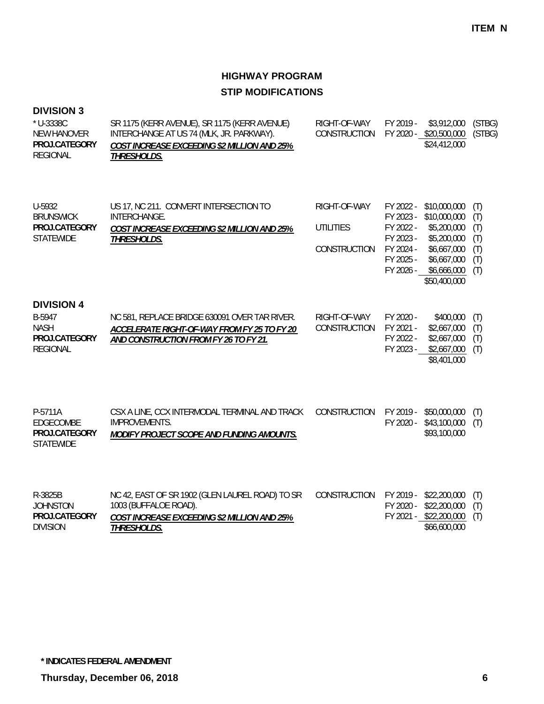#### **DIVISION 3**

| * U-3338C<br><b>NEW HANOVER</b><br>PROJ.CATEGORY<br><b>REGIONAL</b>            | SR 1175 (KERR AVENUE), SR 1175 (KERR AVENUE)<br>INTERCHANGE AT US 74 (MLK, JR. PARKWAY).<br>COST INCREASE EXCEEDING \$2 MILLION AND 25%<br>THRESHOLDS. | RIGHT-OF-WAY<br>CONSTRUCTION                     | FY 2019 -                                                                               | \$3,912,000<br>FY 2020 - \$20,500,000<br>\$24,412,000                                                                   | (STBG)<br>(STBG)                              |
|--------------------------------------------------------------------------------|--------------------------------------------------------------------------------------------------------------------------------------------------------|--------------------------------------------------|-----------------------------------------------------------------------------------------|-------------------------------------------------------------------------------------------------------------------------|-----------------------------------------------|
| U-5932<br><b>BRUNSWICK</b><br>PROJ.CATEGORY<br><b>STATEWIDE</b>                | US 17, NC 211. CONVERT INTERSECTION TO<br>INTERCHANGE.<br>COST INCREASE EXCEEDING \$2 MILLION AND 25%<br>THRESHOLDS.                                   | RIGHT-OF-WAY<br><b>UTILITIES</b><br>CONSTRUCTION | FY 2022 -<br>FY 2023 -<br>FY 2022 -<br>FY 2023 -<br>FY 2024 -<br>FY 2025 -<br>FY 2026 - | \$10,000,000<br>\$10,000,000<br>\$5,200,000<br>\$5,200,000<br>\$6,667,000<br>\$6,667,000<br>\$6,666,000<br>\$50,400,000 | (T)<br>(T)<br>(T)<br>(T)<br>(T)<br>(T)<br>(T) |
| <b>DIVISION 4</b><br>B-5947<br><b>NASH</b><br>PROJ.CATEGORY<br><b>REGIONAL</b> | NC 581, REPLACE BRIDGE 630091 OVER TAR RIVER.<br>ACCELERATE RIGHT-OF-WAY FROM FY 25 TO FY 20<br>AND CONSTRUCTION FROM FY 26 TO FY 21.                  | RIGHT-OF-WAY<br><b>CONSTRUCTION</b>              | FY 2020 -<br>FY 2021 -<br>FY 2022 -<br>FY 2023 -                                        | \$400,000<br>\$2,667,000<br>\$2,667,000<br>\$2,667,000<br>\$8,401,000                                                   | (T)<br>(T)<br>(T)<br>(T)                      |
| P-5711A<br>EDGECOMBE<br>PROJ.CATEGORY<br><b>STATEWIDE</b>                      | CSX A LINE, CCX INTERMODAL TERMINAL AND TRACK<br><b>IMPROVEMENTS.</b><br>MODIFY PROJECT SCOPE AND FUNDING AMOUNTS.                                     | CONSTRUCTION                                     | FY 2019 -<br>FY 2020 -                                                                  | \$50,000,000<br>\$43,100,000<br>\$93,100,000                                                                            | (T)<br>(T)                                    |
| R-3825B<br><b>JOHNSTON</b><br>PROJ.CATEGORY<br><b>DIVISION</b>                 | NC 42, EAST OF SR 1902 (GLEN LAUREL ROAD) TO SR<br>1003 (BUFFALOE ROAD).<br>COST INCREASE EXCEEDING \$2 MILLION AND 25%<br><b>THRESHOLDS.</b>          | CONSTRUCTION                                     | FY 2020 -                                                                               | FY 2019 - \$22,200,000<br>\$22,200,000<br>FY 2021 - \$22,200,000<br>\$66,600,000                                        | (T)<br>(T)<br>(T)                             |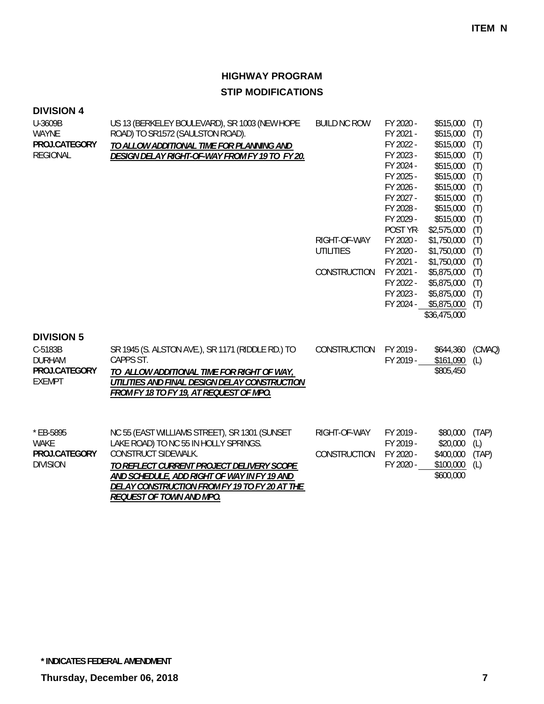| <b>DIVISION 4</b><br>U-3609B<br><b>WAYNE</b><br>PROJ.CATEGORY<br><b>REGIONAL</b> | US 13 (BERKELEY BOULEVARD), SR 1003 (NEW HOPE<br>ROAD) TO SR1572 (SAULSTON ROAD).<br>TO ALLOW ADDITIONAL TIME FOR PLANNING AND<br>DESIGN DELAY RIGHT-OF-WAY FROM FY 19 TO FY 20.                                                                                                              | <b>BUILD NC ROW</b><br>RIGHT-OF-WAY<br><b>UTILITIES</b><br>CONSTRUCTION | FY 2020 -<br>FY 2021 -<br>FY 2022 -<br>FY 2023 -<br>FY 2024 -<br>FY 2025 -<br>FY 2026 -<br>FY 2027 -<br>FY 2028 -<br>FY 2029 -<br>POST YR-<br>FY 2020 -<br>FY 2020 -<br>FY 2021 -<br>FY 2021 -<br>FY 2022 -<br>FY 2023 -<br>FY 2024 - | \$515,000<br>\$515,000<br>\$515,000<br>\$515,000<br>\$515,000<br>\$515,000<br>\$515,000<br>\$515,000<br>\$515,000<br>\$515,000<br>\$2,575,000<br>\$1,750,000<br>\$1,750,000<br>\$1,750,000<br>\$5,875,000<br>\$5,875,000<br>\$5,875,000<br>\$5,875,000<br>\$36,475,000 | (T)<br>(T)<br>(T)<br>(T)<br>(T)<br>(T)<br>(T)<br>(T)<br>(T)<br>(T)<br>(T)<br>(T)<br>(T)<br>(T)<br>(T)<br>(T)<br>(T)<br>(T) |
|----------------------------------------------------------------------------------|-----------------------------------------------------------------------------------------------------------------------------------------------------------------------------------------------------------------------------------------------------------------------------------------------|-------------------------------------------------------------------------|---------------------------------------------------------------------------------------------------------------------------------------------------------------------------------------------------------------------------------------|------------------------------------------------------------------------------------------------------------------------------------------------------------------------------------------------------------------------------------------------------------------------|----------------------------------------------------------------------------------------------------------------------------|
| <b>DIVISION 5</b><br>C-5183B<br><b>DURHAM</b><br>PROJ.CATEGORY<br><b>EXEMPT</b>  | SR 1945 (S. ALSTON AVE.), SR 1171 (RIDDLE RD.) TO<br>CAPPS ST.<br>TO ALLOW ADDITIONAL TIME FOR RIGHT OF WAY,<br>UTILITIES AND FINAL DESIGN DELAY CONSTRUCTION<br>FROM FY 18 TO FY 19, AT REQUEST OF MPO.                                                                                      | CONSTRUCTION                                                            | FY 2019 -<br>FY 2019 -                                                                                                                                                                                                                | \$644,360<br>\$161,090<br>\$805,450                                                                                                                                                                                                                                    | (CMAQ)<br>(L)                                                                                                              |
| * EB-5895<br><b>WAKE</b><br>PROJ.CATEGORY<br><b>DIVISION</b>                     | NC 55 (EAST WILLIAMS STREET), SR 1301 (SUNSET<br>LAKE ROAD) TO NC 55 IN HOLLY SPRINGS.<br>CONSTRUCT SIDEWALK.<br>TO REFLECT CURRENT PROJECT DELIVERY SCOPE<br>AND SCHEDULE, ADD RIGHT OF WAY IN FY 19 AND<br>DELAY CONSTRUCTION FROM FY 19 TO FY 20 AT THE<br><b>REQUEST OF TOWN AND MPO.</b> | RIGHT-OF-WAY<br>CONSTRUCTION                                            | FY 2019 -<br>FY 2019 -<br>FY 2020 -<br>FY 2020 -                                                                                                                                                                                      | \$80,000<br>\$20,000<br>\$400,000<br>\$100,000<br>\$600,000                                                                                                                                                                                                            | (TAP)<br>(L)<br>(TAP)<br>(L)                                                                                               |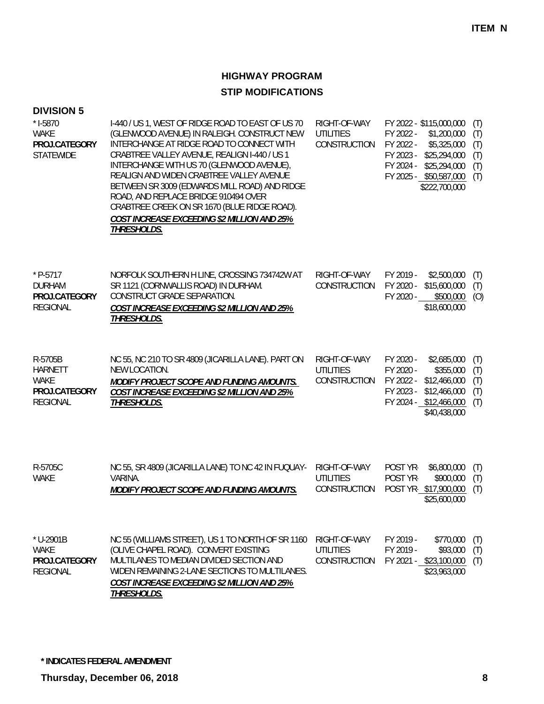| <b>DIVISION 5</b><br>$*$ 1-5870<br><b>WAKE</b><br>PROJ.CATEGORY<br><b>STATEWIDE</b> | I-440 / US 1, WEST OF RIDGE ROAD TO EAST OF US 70<br>(GLENWOOD AVENUE) IN RALEIGH. CONSTRUCT NEW<br>INTERCHANGE AT RIDGE ROAD TO CONNECT WITH<br>CRABTREE VALLEY AVENUE, REALIGN I-440 / US 1<br>INTERCHANGE WITH US 70 (GLENWOOD AVENUE),<br>REALIGN AND WIDEN CRABTREE VALLEY AVENUE<br>BETWEEN SR 3009 (EDWARDS MILL ROAD) AND RIDGE<br>ROAD, AND REPLACE BRIDGE 910494 OVER<br>CRABTREE CREEK ON SR 1670 (BLUE RIDGE ROAD).<br>COST INCREASE EXCEEDING \$2 MILLION AND 25%<br>THRESHOLDS. | RIGHT-OF-WAY<br><b>UTILITIES</b><br>CONSTRUCTION | FY 2022 - \$115,000,000<br>FY 2022 -<br>FY 2022 -<br>FY 2023 -<br>FY 2024 - | \$1,200,000<br>\$5,325,000<br>\$25,294,000<br>\$25,294,000<br>FY 2025 - \$50,587,000<br>\$222,700,000 | (T)<br>(T)<br>(T)<br>(T)<br>(T)<br>(T) |
|-------------------------------------------------------------------------------------|-----------------------------------------------------------------------------------------------------------------------------------------------------------------------------------------------------------------------------------------------------------------------------------------------------------------------------------------------------------------------------------------------------------------------------------------------------------------------------------------------|--------------------------------------------------|-----------------------------------------------------------------------------|-------------------------------------------------------------------------------------------------------|----------------------------------------|
| $*$ P-5717<br><b>DURHAM</b><br>PROJ.CATEGORY<br><b>REGIONAL</b>                     | NORFOLK SOUTHERN H LINE, CROSSING 734742W AT<br>SR 1121 (CORNWALLIS ROAD) IN DURHAM.<br>CONSTRUCT GRADE SEPARATION.<br><b>COST INCREASE EXCEEDING \$2 MILLION AND 25%</b><br>THRESHOLDS.                                                                                                                                                                                                                                                                                                      | RIGHT-OF-WAY<br>CONSTRUCTION                     | FY 2019 -<br>FY 2020 -<br>FY 2020 -                                         | \$2,500,000<br>\$15,600,000<br>\$500,000<br>\$18,600,000                                              | (T)<br>(T)<br>(O)                      |
| R-5705B<br><b>HARNETT</b><br>WAKE<br>PROJ.CATEGORY<br><b>REGIONAL</b>               | NC 55, NC 210 TO SR 4809 (JICARILLA LANE). PART ON<br>NEW LOCATION.<br>MODIFY PROJECT SCOPE AND FUNDING AMOUNTS.<br>COST INCREASE EXCEEDING \$2 MILLION AND 25%<br><b>THRESHOLDS.</b>                                                                                                                                                                                                                                                                                                         | RIGHT-OF-WAY<br><b>UTILITIES</b><br>CONSTRUCTION | FY 2020 -<br>FY 2020 -<br>FY 2022 -<br>FY 2023 -                            | \$2,685,000<br>\$355,000<br>\$12,466,000<br>\$12,466,000<br>FY 2024 - \$12,466,000<br>\$40,438,000    | (T)<br>(T)<br>(T)<br>(T)<br>(T)        |
| R-5705C<br><b>WAKE</b>                                                              | NC 55, SR 4809 (JICARILLA LANE) TO NC 42 IN FUQUAY-<br>VARINA.<br>MODIFY PROJECT SCOPE AND FUNDING AMOUNTS.                                                                                                                                                                                                                                                                                                                                                                                   | RIGHT-OF-WAY<br><b>UTILITIES</b><br>CONSTRUCTION | POST YR-<br>POST YR-                                                        | \$6,800,000<br>\$900,000<br>POST YR-\$17,900,000<br>\$25,600,000                                      | (T)<br>(T)<br>(T)                      |
| * U-2901B<br><b>WAKE</b><br>PROJ.CATEGORY<br><b>REGIONAL</b>                        | NC 55 (WILLIAMS STREET), US 1 TO NORTH OF SR 1160<br>(OLIVE CHAPEL ROAD). CONVERT EXISTING<br>MULTILANES TO MEDIAN DIVIDED SECTION AND<br>WIDEN REMAINING 2-LANE SECTIONS TO MULTILANES.<br><b>COST INCREASE EXCEEDING \$2 MILLION AND 25%</b><br><b>THRESHOLDS.</b>                                                                                                                                                                                                                          | RIGHT-OF-WAY<br><b>UTILITIES</b><br>CONSTRUCTION | FY 2019 -<br>FY 2019 -                                                      | \$770,000<br>\$93,000<br>FY 2021 - \$23,100,000<br>\$23,963,000                                       | (T)<br>(T)<br>(T)                      |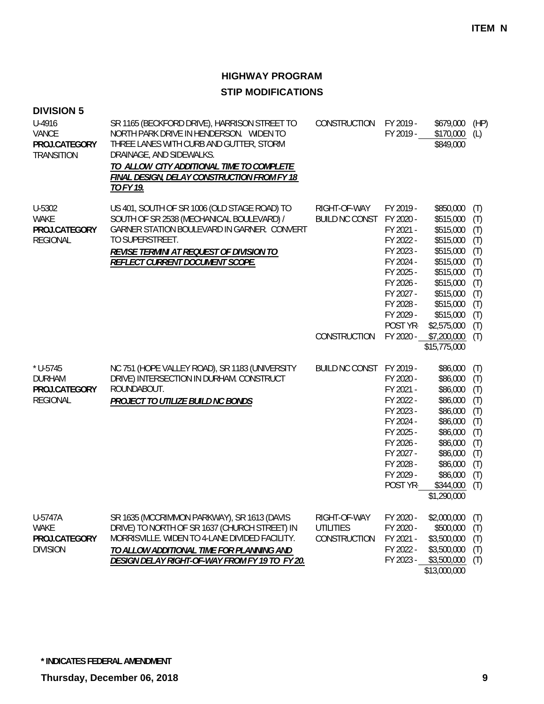| <b>DIVISION 5</b><br>U-4916<br>VANCE<br>PROJ.CATEGORY<br><b>TRANSITION</b> | SR 1165 (BECKFORD DRIVE), HARRISON STREET TO<br>NORTH PARK DRIVE IN HENDERSON. WIDEN TO<br>THREE LANES WITH CURB AND GUTTER, STORM<br>DRAINAGE, AND SIDEWALKS.<br>TO ALLOW CITY ADDITIONAL TIME TO COMPLETE<br>FINAL DESIGN, DELAY CONSTRUCTION FROM FY 18<br>TO FY 19. | CONSTRUCTION                                     | FY 2019 -<br>FY 2019 -                                                                                                                                  | \$679,000<br>\$170,000<br>\$849,000                                                                                                                          | (HP)<br>(L)                                                                      |
|----------------------------------------------------------------------------|-------------------------------------------------------------------------------------------------------------------------------------------------------------------------------------------------------------------------------------------------------------------------|--------------------------------------------------|---------------------------------------------------------------------------------------------------------------------------------------------------------|--------------------------------------------------------------------------------------------------------------------------------------------------------------|----------------------------------------------------------------------------------|
| U-5302<br><b>WAKE</b><br>PROJ.CATEGORY<br><b>REGIONAL</b>                  | US 401, SOUTH OF SR 1006 (OLD STAGE ROAD) TO<br>SOUTH OF SR 2538 (MECHANICAL BOULEVARD) /<br>GARNER STATION BOULEVARD IN GARNER. CONVERT<br>TO SUPERSTREET.<br>REVISE TERMINI AT REQUEST OF DIVISION TO<br>REFLECT CURRENT DOCUMENT SCOPE.                              | RIGHT-OF-WAY<br><b>BUILD NC CONST</b>            | FY 2019 -<br>FY 2020 -<br>FY 2021 -<br>FY 2022 -<br>FY 2023 -<br>FY 2024 -<br>FY 2025 -<br>FY 2026 -<br>FY 2027 -<br>FY 2028 -<br>FY 2029 -<br>POST YR- | \$850,000<br>\$515,000<br>\$515,000<br>\$515,000<br>\$515,000<br>\$515,000<br>\$515,000<br>\$515,000<br>\$515,000<br>\$515,000<br>\$515,000<br>\$2,575,000   | (T)<br>(T)<br>(T)<br>(T)<br>(T)<br>(T)<br>(T)<br>(T)<br>(T)<br>(T)<br>(T)<br>(T) |
|                                                                            |                                                                                                                                                                                                                                                                         | CONSTRUCTION                                     | FY 2020 -                                                                                                                                               | \$7,200,000<br>\$15,775,000                                                                                                                                  | (T)                                                                              |
| $*$ U-5745<br><b>DURHAM</b><br>PROJ.CATEGORY<br><b>REGIONAL</b>            | NC 751 (HOPE VALLEY ROAD), SR 1183 (UNIVERSITY<br>DRIVE) INTERSECTION IN DURHAM. CONSTRUCT<br>ROUNDABOUT.<br>PROJECT TO UTILIZE BUILD NC BONDS                                                                                                                          | BUILD NC CONST FY 2019 -                         | FY 2020 -<br>FY 2021 -<br>FY 2022 -<br>FY 2023 -<br>FY 2024 -<br>FY 2025 -<br>FY 2026 -<br>FY 2027 -<br>FY 2028 -<br>FY 2029 -<br>POST YR-              | \$86,000<br>\$86,000<br>\$86,000<br>\$86,000<br>\$86,000<br>\$86,000<br>\$86,000<br>\$86,000<br>\$86,000<br>\$86,000<br>\$86,000<br>\$344,000<br>\$1,290,000 | (T)<br>(T)<br>(T)<br>(T)<br>(T)<br>(T)<br>(T)<br>(T)<br>(T)<br>(T)<br>(T)<br>(T) |
| U-5747A<br><b>WAKE</b><br>PROJ.CATEGORY<br><b>DIVISION</b>                 | SR 1635 (MCCRIMMON PARKWAY), SR 1613 (DAVIS<br>DRIVE) TO NORTH OF SR 1637 (CHURCH STREET) IN<br>MORRISVILLE. WIDEN TO 4-LANE DIVIDED FACILITY.<br>TO ALLOW ADDITIONAL TIME FOR PLANNING AND<br>DESIGN DELAY RIGHT-OF-WAY FROM FY 19 TO FY 20.                           | RIGHT-OF-WAY<br><b>UTILITIES</b><br>CONSTRUCTION | FY 2020 -<br>FY 2020 -<br>FY 2021 -<br>FY 2022 -<br>FY 2023 -                                                                                           | \$2,000,000<br>\$500,000<br>\$3,500,000<br>\$3,500,000<br>\$3,500,000<br>\$13,000,000                                                                        | (T)<br>(T)<br>(T)<br>(T)<br>(T)                                                  |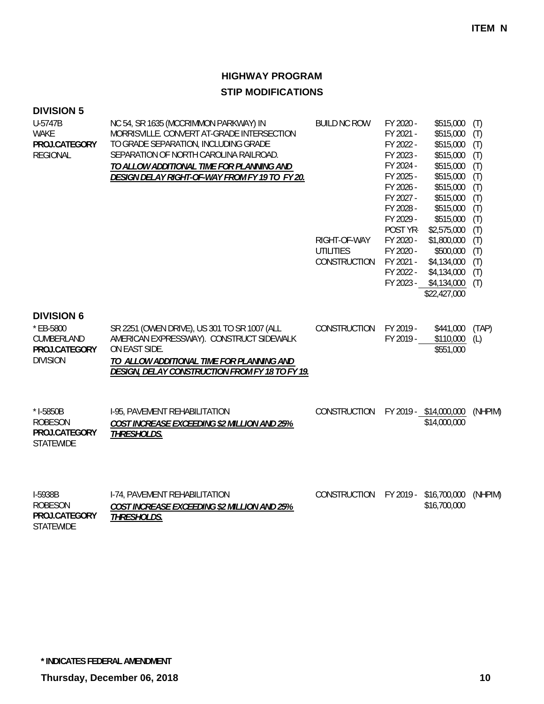| <b>DIVISION 5</b><br>U-5747B<br><b>WAKE</b><br>PROJ.CATEGORY<br><b>REGIONAL</b>  | NC 54, SR 1635 (MCCRIMMON PARKWAY) IN<br>MORRISVILLE, CONVERT AT-GRADE INTERSECTION<br>TO GRADE SEPARATION, INCLUDING GRADE<br>SEPARATION OF NORTH CAROLINA RAILROAD.<br>TO ALLOW ADDITIONAL TIME FOR PLANNING AND<br>DESIGN DELAY RIGHT-OF-WAY FROM FY 19 TO FY 20. | <b>BUILD NC ROW</b><br>RIGHT-OF-WAY<br><b>UTILITIES</b><br>CONSTRUCTION | FY 2020 -<br>FY 2021 -<br>FY 2022 -<br>FY 2023 -<br>FY 2024 -<br>FY 2025 -<br>FY 2026 -<br>FY 2027 -<br>FY 2028 -<br>FY 2029 -<br>POST YR-<br>FY 2020 -<br>FY 2020 -<br>FY 2021 -<br>FY 2022 - | \$515,000<br>\$515,000<br>\$515,000<br>\$515,000<br>\$515,000<br>\$515,000<br>\$515,000<br>\$515,000<br>\$515,000<br>\$515,000<br>\$2,575,000<br>\$1,800,000<br>\$500,000<br>\$4,134,000<br>\$4,134,000<br>FY 2023 - \$4,134,000<br>\$22,427,000 | (T)<br>(T)<br>(T)<br>(T)<br>(T)<br>(T)<br>(T)<br>(T)<br>(T)<br>(T)<br>(T)<br>(T)<br>(T)<br>(T)<br>(T)<br>(T) |
|----------------------------------------------------------------------------------|----------------------------------------------------------------------------------------------------------------------------------------------------------------------------------------------------------------------------------------------------------------------|-------------------------------------------------------------------------|------------------------------------------------------------------------------------------------------------------------------------------------------------------------------------------------|--------------------------------------------------------------------------------------------------------------------------------------------------------------------------------------------------------------------------------------------------|--------------------------------------------------------------------------------------------------------------|
| <b>DIVISION 6</b><br>* EB-5800<br>CUMBERLAND<br>PROJ.CATEGORY<br><b>DIVISION</b> | SR 2251 (OWEN DRIVE), US 301 TO SR 1007 (ALL<br>AMERICAN EXPRESSWAY). CONSTRUCT SIDEWALK<br>ON EAST SIDE.<br>TO ALLOW ADDITIONAL TIME FOR PLANNING AND<br><b>DESIGN, DELAY CONSTRUCTION FROM FY 18 TO FY 19.</b>                                                     | CONSTRUCTION                                                            | FY 2019 -<br>FY 2019 -                                                                                                                                                                         | \$441,000<br>\$110,000<br>\$551,000                                                                                                                                                                                                              | (TAP)<br>(L)                                                                                                 |
| * I-5850B<br><b>ROBESON</b><br>PROJ.CATEGORY<br><b>STATEWIDE</b>                 | I-95, PAVEMENT REHABILITATION<br>COST INCREASE EXCEEDING \$2 MILLION AND 25%<br>THRESHOLDS.                                                                                                                                                                          | CONSTRUCTION                                                            |                                                                                                                                                                                                | FY 2019 - \$14,000,000<br>\$14,000,000                                                                                                                                                                                                           | (NHPIM)                                                                                                      |
| I-5938B<br><b>ROBESON</b><br>PROJ.CATEGORY<br><b>STATEWIDE</b>                   | I-74, PAVEMENT REHABILITATION<br>COST INCREASE EXCEEDING \$2 MILLION AND 25%<br>THRESHOLDS.                                                                                                                                                                          | CONSTRUCTION                                                            | FY 2019 -                                                                                                                                                                                      | \$16,700,000<br>\$16,700,000                                                                                                                                                                                                                     | (NHPIM)                                                                                                      |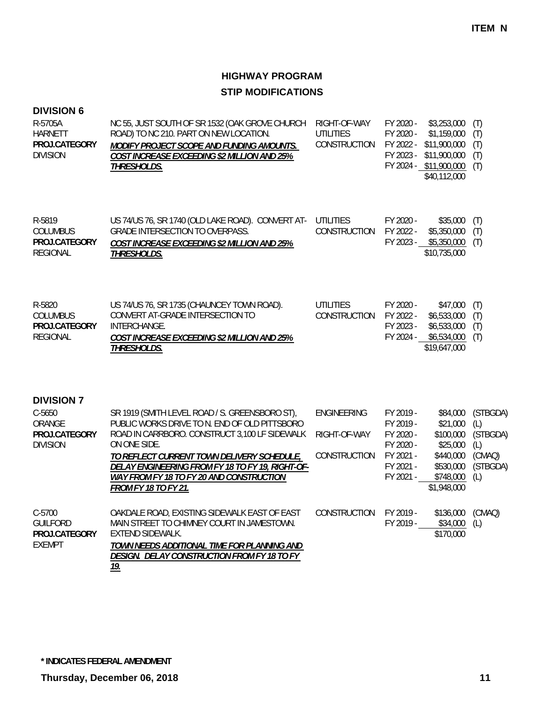| <b>DIVISION 6</b><br>R-5705A<br><b>HARNETT</b><br>PROJ.CATEGORY<br><b>DIVISION</b> | NC 55, JUST SOUTH OF SR 1532 (OAK GROVE CHURCH<br>ROAD) TO NC 210. PART ON NEW LOCATION.<br>MODIFY PROJECT SCOPE AND FUNDING AMOUNTS.<br>COST INCREASE EXCEEDING \$2 MILLION AND 25%<br>THRESHOLDS.                                                                                                                                                  | RIGHT-OF-WAY<br><b>UTILITIES</b><br>CONSTRUCTION   | FY 2020 -<br>\$3,253,000<br>FY 2020 -<br>\$1,159,000<br>FY 2022 -<br>\$11,900,000<br>FY 2023 -<br>\$11,900,000<br>FY 2024 - \$11,900,000<br>\$40,112,000                                       | (T)<br>(T)<br>(T)<br>(T)<br>(T)                                 |
|------------------------------------------------------------------------------------|------------------------------------------------------------------------------------------------------------------------------------------------------------------------------------------------------------------------------------------------------------------------------------------------------------------------------------------------------|----------------------------------------------------|------------------------------------------------------------------------------------------------------------------------------------------------------------------------------------------------|-----------------------------------------------------------------|
| R-5819<br><b>COLUMBUS</b><br>PROJ.CATEGORY<br><b>REGIONAL</b>                      | US 74/US 76, SR 1740 (OLD LAKE ROAD). CONVERT AT-<br><b>GRADE INTERSECTION TO OVERPASS.</b><br>COST INCREASE EXCEEDING \$2 MILLION AND 25%<br>THRESHOLDS.                                                                                                                                                                                            | <b>UTILITIES</b><br><b>CONSTRUCTION</b>            | FY 2020 -<br>\$35,000<br>FY 2022 -<br>\$5,350,000<br>FY 2023 - \$5,350,000<br>\$10,735,000                                                                                                     | (T)<br>(T)<br>(T)                                               |
| R-5820<br><b>COLUMBUS</b><br>PROJ.CATEGORY<br><b>REGIONAL</b>                      | US 74/US 76, SR 1735 (CHAUNCEY TOWN ROAD).<br>CONVERT AT-GRADE INTERSECTION TO<br>INTERCHANGE.<br>COST INCREASE EXCEEDING \$2 MILLION AND 25%<br><b>THRESHOLDS.</b>                                                                                                                                                                                  | <b>UTILITIES</b><br>CONSTRUCTION                   | FY 2020 -<br>\$47,000<br>FY 2022 -<br>\$6,533,000<br>\$6,533,000<br>FY 2023 -<br>FY 2024 - \$6,534,000<br>\$19,647,000                                                                         | (T)<br>(T)<br>(T)<br>(T)                                        |
| <b>DIVISION 7</b><br>$C - 5650$<br>ORANGE<br>PROJ.CATEGORY<br><b>DIVISION</b>      | SR 1919 (SMITH LEVEL ROAD / S. GREENSBORO ST),<br>PUBLIC WORKS DRIVE TO N. END OF OLD PITTSBORO<br>ROAD IN CARRBORO. CONSTRUCT 3,100 LF SIDEWALK<br>ON ONE SIDE.<br>TO REFLECT CURRENT TOWN DELIVERY SCHEDULE,<br>DELAY ENGINEERING FROM FY 18 TO FY 19, RIGHT-OF-<br><b>WAY FROM FY 18 TO FY 20 AND CONSTRUCTION</b><br><b>FROM FY 18 TO FY 21.</b> | <b>ENGINEERING</b><br>RIGHT-OF-WAY<br>CONSTRUCTION | FY 2019 -<br>\$84,000<br>\$21,000<br>FY 2019 -<br>FY 2020 -<br>\$100,000<br>FY 2020 -<br>\$25,000<br>FY 2021 -<br>\$440,000<br>FY 2021 -<br>\$530,000<br>FY 2021 -<br>\$748,000<br>\$1,948,000 | (STBGDA)<br>(L)<br>(STBGDA)<br>(L)<br>(CMAQ)<br>(STBGDA)<br>(L) |
| $C-5700$<br><b>GUILFORD</b><br>PROJ.CATEGORY<br><b>EXEMPT</b>                      | OAKDALE ROAD, EXISTING SIDEWALK EAST OF EAST<br>MAIN STREET TO CHIMNEY COURT IN JAMESTOWN.<br>EXTEND SIDEWALK.<br>TOWN NEEDS ADDITIONAL TIME FOR PLANNING AND<br>DESIGN. DELAY CONSTRUCTION FROM FY 18 TO FY<br><u>19.</u>                                                                                                                           | CONSTRUCTION                                       | FY 2019 -<br>FY 2019 -<br>\$34,000<br>\$170,000                                                                                                                                                | \$136,000 (CMAQ)<br>(L)                                         |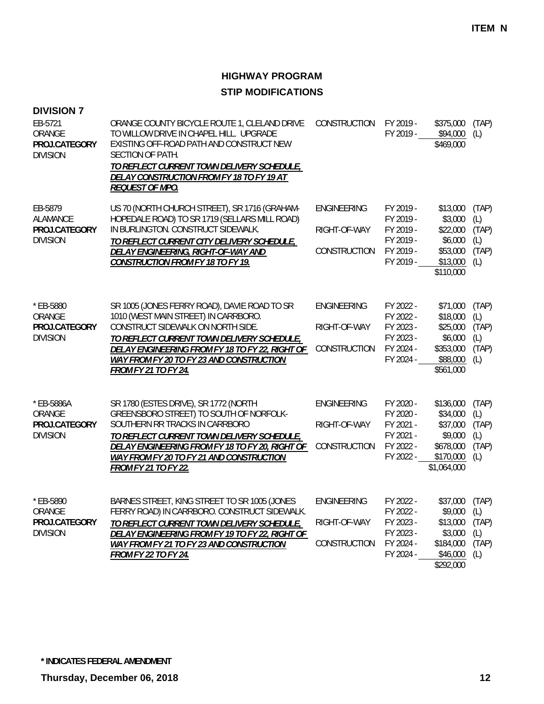| <b>DIVISION 7</b><br>EB-5721<br>ORANGE<br>PROJ.CATEGORY<br><b>DIVISION</b> | ORANGE COUNTY BICYCLE ROUTE 1, CLELAND DRIVE<br>TO WILLOW DRIVE IN CHAPEL HILL. UPGRADE<br>EXISTING OFF-ROAD PATH AND CONSTRUCT NEW<br>SECTION OF PATH.<br><u>TO REFLECT CURRENT TOWN DELIVERY SCHEDULE,</u><br>DELAY CONSTRUCTION FROM FY 18 TO FY 19 AT<br>REQUEST OF MPO.                                 | CONSTRUCTION                                       | FY 2019 -<br>FY 2019 -                                                     | \$375,000<br>\$94,000<br>\$469,000                                                     | (TAP)<br>(L)                                 |
|----------------------------------------------------------------------------|--------------------------------------------------------------------------------------------------------------------------------------------------------------------------------------------------------------------------------------------------------------------------------------------------------------|----------------------------------------------------|----------------------------------------------------------------------------|----------------------------------------------------------------------------------------|----------------------------------------------|
| EB-5879<br>ALAMANCE<br>PROJ.CATEGORY<br><b>DIVISION</b>                    | US 70 (NORTH CHURCH STREET), SR 1716 (GRAHAM-<br>HOPEDALE ROAD) TO SR 1719 (SELLARS MILL ROAD)<br>IN BURLINGTON. CONSTRUCT SIDEWALK.<br>TO REFLECT CURRENT CITY DELIVERY SCHEDULE,<br>DELAY ENGINEERING, RIGHT-OF-WAY AND<br><b>CONSTRUCTION FROM FY 18 TO FY 19.</b>                                        | ENGINEERING<br>RIGHT-OF-WAY<br>CONSTRUCTION        | FY 2019 -<br>FY 2019 -<br>FY 2019 -<br>FY 2019 -<br>FY 2019 -<br>FY 2019 - | \$13,000<br>\$3,000<br>\$22,000<br>\$6,000<br>\$53,000<br>\$13,000<br>\$110,000        | (TAP)<br>(L)<br>(TAP)<br>(L)<br>(TAP)<br>(L) |
| * EB-5880<br>ORANGE<br>PROJ.CATEGORY<br><b>DIVISION</b>                    | SR 1005 (JONES FERRY ROAD), DAVIE ROAD TO SR<br>1010 (WEST MAIN STREET) IN CARRBORO.<br>CONSTRUCT SIDEWALK ON NORTH SIDE.<br>TO REFLECT CURRENT TOWN DELIVERY SCHEDULE,<br>DELAY ENGINEERING FROM FY 18 TO FY 22, RIGHT OF<br><b>WAY FROM FY 20 TO FY 23 AND CONSTRUCTION</b><br><b>FROM FY 21 TO FY 24.</b> | <b>ENGINEERING</b><br>RIGHT-OF-WAY<br>CONSTRUCTION | FY 2022 -<br>FY 2022 -<br>FY 2023 -<br>FY 2023 -<br>FY 2024 -<br>FY 2024 - | \$71,000<br>\$18,000<br>\$25,000<br>\$6,000<br>\$353,000<br>\$88,000<br>\$561,000      | (TAP)<br>(L)<br>(TAP)<br>(L)<br>(TAP)<br>(L) |
| * EB-5886A<br>ORANGE<br>PROJ.CATEGORY<br><b>DIVISION</b>                   | SR 1780 (ESTES DRIVE), SR 1772 (NORTH<br>GREENSBORO STREET) TO SOUTH OF NORFOLK-<br>SOUTHERN RR TRACKS IN CARRBORO<br>TO REFLECT CURRENT TOWN DELIVERY SCHEDULE,<br>DELAY ENGINEERING FROM FY 18 TO FY 20, RIGHT OF<br>WAY FROM FY 20 TO FY 21 AND CONSTRUCTION<br><b>FROM FY 21 TO FY 22.</b>               | <b>ENGINEERING</b><br>RIGHT-OF-WAY<br>CONSTRUCTION | FY 2020 -<br>FY 2020 -<br>FY 2021 -<br>FY 2021 -<br>FY 2022 -<br>FY 2022 - | \$136,000<br>\$34,000<br>\$37,000<br>\$9,000<br>\$678,000<br>\$170,000<br>\$1,064,000  | (TAP)<br>(L)<br>(TAP)<br>(L)<br>(TAP)<br>(L) |
| * EB-5890<br>ORANGE<br>PROJ.CATEGORY<br><b>DIVISION</b>                    | BARNES STREET, KING STREET TO SR 1005 (JONES<br>FERRY ROAD) IN CARRBORO. CONSTRUCT SIDEWALK.<br>TO REFLECT CURRENT TOWN DELIVERY SCHEDULE,<br>DELAY ENGINEERING FROM FY 19 TO FY 22, RIGHT OF<br>WAY FROM FY 21 TO FY 23 AND CONSTRUCTION<br><b>FROM FY 22 TO FY 24.</b>                                     | <b>ENGINEERING</b><br>RIGHT-OF-WAY<br>CONSTRUCTION | FY 2022 -<br>FY 2022 -<br>FY 2023 -<br>FY 2023 -<br>FY 2024 -<br>FY 2024 - | \$37,000 (TAP)<br>\$9,000<br>\$13,000<br>\$3,000<br>\$184,000<br>\$46,000<br>\$292,000 | (L)<br>(TAP)<br>(L)<br>(TAP)<br>(L)          |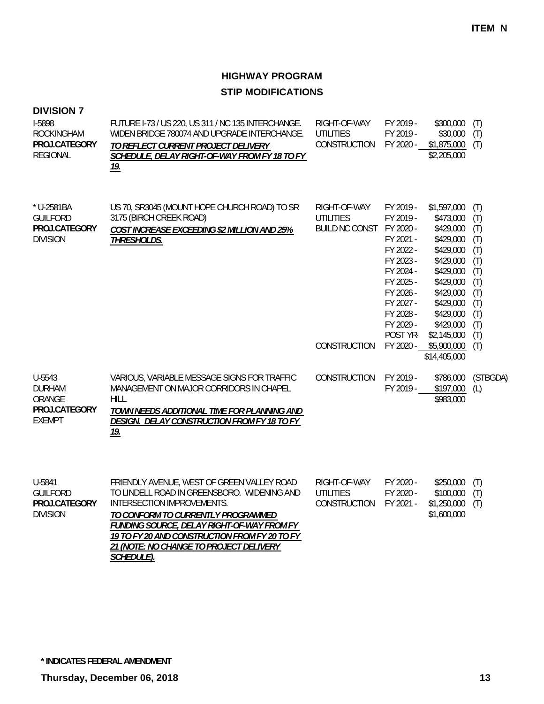| <b>DIVISION 7</b><br>I-5898<br><b>ROCKINGHAM</b><br>PROJ.CATEGORY<br><b>REGIONAL</b> | FUTURE 1-73 / US 220, US 311 / NC 135 INTERCHANGE.<br>WIDEN BRIDGE 780074 AND UPGRADE INTERCHANGE.<br>TO REFLECT CURRENT PROJECT DELIVERY<br>SCHEDULE, DELAY RIGHT-OF-WAY FROM FY 18 TO FY<br><u>19.</u>                                                                                                       | RIGHT-OF-WAY<br><b>UTILITIES</b><br>CONSTRUCTION             | FY 2019 -<br>FY 2019 -<br>FY 2020 -                                                                                                                     | \$300,000<br>\$30,000<br>$$1,875,000$ (T)<br>\$2,205,000                                                                                                                  | (T)<br>(T)                                                                              |
|--------------------------------------------------------------------------------------|----------------------------------------------------------------------------------------------------------------------------------------------------------------------------------------------------------------------------------------------------------------------------------------------------------------|--------------------------------------------------------------|---------------------------------------------------------------------------------------------------------------------------------------------------------|---------------------------------------------------------------------------------------------------------------------------------------------------------------------------|-----------------------------------------------------------------------------------------|
| * U-2581BA<br><b>GUILFORD</b><br>PROJ.CATEGORY<br><b>DIVISION</b>                    | US 70, SR3045 (MOUNT HOPE CHURCH ROAD) TO SR<br>3175 (BIRCH CREEK ROAD)<br>COST INCREASE EXCEEDING \$2 MILLION AND 25%<br><b>THRESHOLDS.</b>                                                                                                                                                                   | RIGHT-OF-WAY<br><b>UTILITIES</b><br>BUILD NC CONST FY 2020 - | FY 2019 -<br>FY 2019 -<br>FY 2021 -<br>FY 2022 -<br>FY 2023 -<br>FY 2024 -<br>FY 2025 -<br>FY 2026 -<br>FY 2027 -<br>FY 2028 -<br>FY 2029 -<br>POST YR- | \$1,597,000<br>\$473,000<br>\$429,000<br>\$429,000<br>\$429,000<br>\$429,000<br>\$429,000<br>\$429,000<br>\$429,000<br>\$429,000<br>\$429,000<br>\$429,000<br>\$2,145,000 | (T)<br>(T)<br>(T)<br>(T)<br>(T)<br>(T)<br>(T)<br>(T)<br>(T)<br>(T)<br>(T)<br>(T)<br>(T) |
|                                                                                      |                                                                                                                                                                                                                                                                                                                | CONSTRUCTION                                                 | FY 2020 -                                                                                                                                               | \$5,900,000<br>\$14,405,000                                                                                                                                               | (T)                                                                                     |
| U-5543<br><b>DURHAM</b><br>ORANGE<br>PROJ.CATEGORY<br><b>EXEMPT</b>                  | VARIOUS, VARIABLE MESSAGE SIGNS FOR TRAFFIC<br>MANAGEMENT ON MAJOR CORRIDORS IN CHAPEL<br>HILL.<br>TOWN NEEDS ADDITIONAL TIME FOR PLANNING AND<br>DESIGN. DELAY CONSTRUCTION FROM FY 18 TO FY<br><u>19.</u>                                                                                                    | CONSTRUCTION                                                 | FY 2019 -<br>FY 2019 -                                                                                                                                  | \$786,000<br>\$197,000<br>\$983,000                                                                                                                                       | (STBGDA)<br>(L)                                                                         |
| U-5841<br><b>GUILFORD</b><br>PROJ.CATEGORY<br><b>DIVISION</b>                        | FRIENDLY AVENUE, WEST OF GREEN VALLEY ROAD<br>TO LINDELL ROAD IN GREENSBORO. WIDENING AND<br>INTERSECTION IMPROVEMENTS.<br>TO CONFORM TO CURRENTLY PROGRAMMED<br><b>FUNDING SOURCE, DELAY RIGHT-OF-WAY FROM FY</b><br>19 TO FY 20 AND CONSTRUCTION FROM FY 20 TO FY<br>21 (NOTE: NO CHANGE TO PROJECT DELIVERY | RIGHT-OF-WAY<br><b>UTILITIES</b><br>CONSTRUCTION             | FY 2020 -<br>FY 2020 -<br>FY 2021 -                                                                                                                     | \$250,000<br>\$100,000<br>\$1,250,000<br>\$1,600,000                                                                                                                      | (T)<br>(T)<br>(T)                                                                       |

*SCHEDULE).*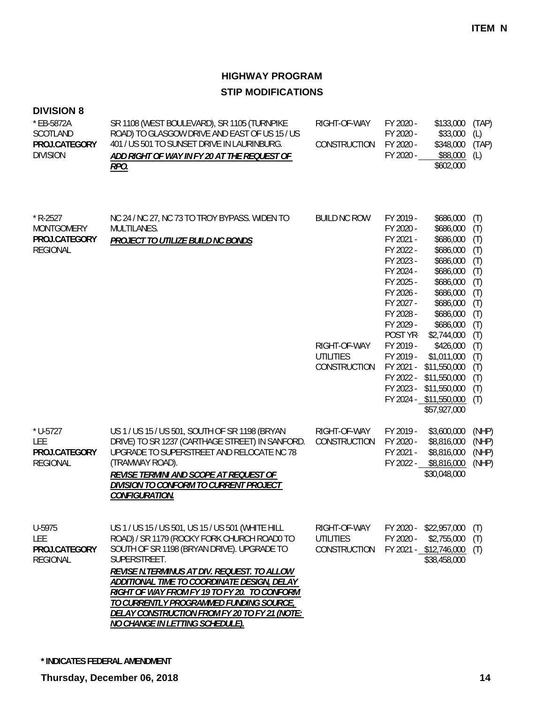| <b>DIVISION 8</b><br>* EB-5872A<br>SCOTLAND<br>PROJ.CATEGORY<br><b>DIVISION</b> | SR 1108 (WEST BOULEVARD), SR 1105 (TURNPIKE<br>ROAD) TO GLASGOW DRIVE AND EAST OF US 15 / US<br>401 / US 501 TO SUNSET DRIVE IN LAURINBURG.<br>ADD RIGHT OF WAY IN FY 20 AT THE REQUEST OF<br><u>RPO.</u>                                                                                                                                                                                                                                   | RIGHT-OF-WAY<br>CONSTRUCTION                     | FY 2020 -<br>FY 2020 -<br>FY 2020 -<br>FY 2020 -                                                                                                        | \$133,000<br>\$33,000<br>\$348,000<br>\$88,000<br>\$602,000                                                                                                | (TAP)<br>(L)<br>(TAP)<br>(L)                                              |
|---------------------------------------------------------------------------------|---------------------------------------------------------------------------------------------------------------------------------------------------------------------------------------------------------------------------------------------------------------------------------------------------------------------------------------------------------------------------------------------------------------------------------------------|--------------------------------------------------|---------------------------------------------------------------------------------------------------------------------------------------------------------|------------------------------------------------------------------------------------------------------------------------------------------------------------|---------------------------------------------------------------------------|
| $*$ R-2527<br><b>MONTGOMERY</b><br>PROJ.CATEGORY<br><b>REGIONAL</b>             | NC 24 / NC 27, NC 73 TO TROY BYPASS. WIDEN TO<br>MULTILANES.<br>PROJECT TO UTILIZE BUILD NC BONDS                                                                                                                                                                                                                                                                                                                                           | <b>BUILD NC ROW</b>                              | FY 2019 -<br>FY 2020 -<br>FY 2021 -<br>FY 2022 -<br>FY 2023 -<br>FY 2024 -<br>FY 2025 -<br>FY 2026 -<br>FY 2027 -<br>FY 2028 -<br>FY 2029 -<br>POST YR- | \$686,000<br>\$686,000<br>\$686,000<br>\$686,000<br>\$686,000<br>\$686,000<br>\$686,000<br>\$686,000<br>\$686,000<br>\$686,000<br>\$686,000<br>\$2,744,000 | (T)<br>(T)<br>(T)<br>(T)<br>(T)<br>(T)<br>(T)<br>(T)<br>(T)<br>(T)<br>(T) |
|                                                                                 |                                                                                                                                                                                                                                                                                                                                                                                                                                             | RIGHT-OF-WAY<br><b>UTILITIES</b><br>CONSTRUCTION | FY 2019 -<br>FY 2019 -<br>FY 2021 -<br>FY 2022 -<br>FY 2023 -                                                                                           | \$426,000<br>\$1,011,000<br>\$11,550,000<br>\$11,550,000<br>\$11,550,000<br>FY 2024 - \$11,550,000<br>\$57,927,000                                         | (T)<br>(T)<br>(T)<br>(T)<br>(T)<br>(T)<br>(T)                             |
| $*$ U-5727<br><b>LEE</b><br>PROJ.CATEGORY<br><b>REGIONAL</b>                    | US 1 / US 15 / US 501, SOUTH OF SR 1198 (BRYAN<br>DRIVE) TO SR 1237 (CARTHAGE STREET) IN SANFORD.<br>UPGRADE TO SUPERSTREET AND RELOCATE NC 78<br>(TRAMWAY ROAD).<br>REVISE TERMINI AND SCOPE AT REQUEST OF<br><b>DIVISION TO CONFORM TO CURRENT PROJECT</b><br>CONFIGURATION.                                                                                                                                                              | RIGHT-OF-WAY<br>CONSTRUCTION                     | FY 2019 -<br>FY 2020 -<br>FY 2021 -<br>FY 2022 -                                                                                                        | \$3,600,000<br>\$8,816,000<br>\$8,816,000<br>\$8,816,000<br>\$30,048,000                                                                                   | (NHP)<br>(NHP)<br>(NHP)<br>(NHP)                                          |
| U-5975<br>LEE<br>PROJ.CATEGORY<br><b>REGIONAL</b>                               | US 1 / US 15 / US 501, US 15 / US 501 (WHITE HILL<br>ROAD) / SR 1179 (ROCKY FORK CHURCH ROAD0 TO<br>SOUTH OF SR 1198 (BRYAN DRIVE). UPGRADE TO<br>SUPERSTREET.<br>REVISE N.TERMINUS AT DIV. REQUEST. TO ALLOW<br>ADDITIONAL TIME TO COORDINATE DESIGN, DELAY<br>RIGHT OF WAY FROM FY 19 TO FY 20. TO CONFORM<br>TO CURRENTLY PROGRAMMED FUNDING SOURCE,<br>DELAY CONSTRUCTION FROM FY 20 TO FY 21 (NOTE:<br>NO CHANGE IN LETTING SCHEDULE). | RIGHT-OF-WAY<br><b>UTILITIES</b><br>CONSTRUCTION | FY 2020 -<br>FY 2020 -                                                                                                                                  | \$22,957,000<br>\$2,755,000<br>FY 2021 - \$12,746,000<br>\$38,458,000                                                                                      | (T)<br>(T)<br>(T)                                                         |

**\* INDICATES FEDERAL AMENDMENT**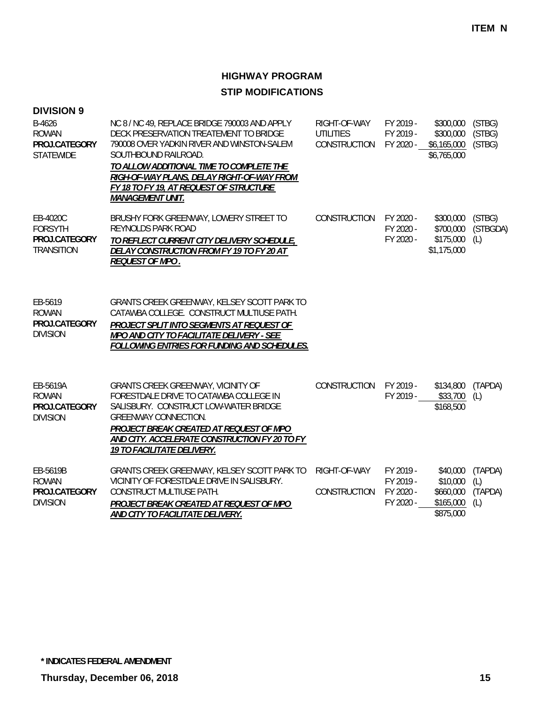| <b>DIVISION 9</b>                                                |                                                                                                                                                                                                                                                                                                                               |                                                  |                                                  |                                                             |                                  |
|------------------------------------------------------------------|-------------------------------------------------------------------------------------------------------------------------------------------------------------------------------------------------------------------------------------------------------------------------------------------------------------------------------|--------------------------------------------------|--------------------------------------------------|-------------------------------------------------------------|----------------------------------|
| B-4626<br><b>ROWAN</b><br>PROJ.CATEGORY<br><b>STATEWIDE</b>      | NC 8 / NC 49, REPLACE BRIDGE 790003 AND APPLY<br>DECK PRESERVATION TREATEMENT TO BRIDGE<br>790008 OVER YADKIN RIVER AND WINSTON-SALEM<br>SOUTHBOUND RAILROAD.<br>TO ALLOW ADDITIONAL TIME TO COMPLETE THE<br>RIGH-OF-WAY PLANS, DELAY RIGHT-OF-WAY FROM<br>FY 18 TO FY 19, AT REQUEST OF STRUCTURE<br><b>MANAGEMENT UNIT.</b> | RIGHT-OF-WAY<br><b>UTILITIES</b><br>CONSTRUCTION | FY 2019 -<br>FY 2019 -<br>FY 2020 -              | \$300,000<br>\$300,000<br>\$6,165,000<br>\$6,765,000        | (STBG)<br>(STBG)<br>(STBG)       |
| EB-4020C<br><b>FORSYTH</b><br>PROJ.CATEGORY<br><b>TRANSITION</b> | BRUSHY FORK GREENWAY, LOWERY STREET TO<br><b>REYNOLDS PARK ROAD</b><br><b>TO REFLECT CURRENT CITY DELIVERY SCHEDULE,</b><br>DELAY CONSTRUCTION FROM FY 19 TO FY 20 AT<br>REQUEST OF MPO.                                                                                                                                      | CONSTRUCTION                                     | FY 2020 -<br>FY 2020 -<br>FY 2020 -              | \$300,000<br>\$700,000<br>\$175,000<br>\$1,175,000          | (STBG)<br>(STBGDA)<br>(L)        |
| EB-5619<br><b>ROWAN</b><br>PROJ.CATEGORY<br><b>DIVISION</b>      | GRANTS CREEK GREENWAY, KELSEY SCOTT PARK TO<br>CATAWBA COLLEGE. CONSTRUCT MULTIUSE PATH.<br>PROJECT SPLIT INTO SEGMENTS AT REQUEST OF<br>MPO AND CITY TO FACILITATE DELIVERY - SEE<br><b>FOLLOWING ENTRIES FOR FUNDING AND SCHEDULES.</b>                                                                                     |                                                  |                                                  |                                                             |                                  |
| EB-5619A<br><b>ROWAN</b><br>PROJ.CATEGORY<br><b>DIVISION</b>     | <b>GRANTS CREEK GREENWAY, VICINITY OF</b><br>FORESTDALE DRIVE TO CATAWBA COLLEGE IN<br>SALISBURY. CONSTRUCT LOW-WATER BRIDGE<br><b>GREENWAY CONNECTION.</b><br>PROJECT BREAK CREATED AT REQUEST OF MPO<br>AND CITY. ACCELERATE CONSTRUCTION FY 20 TO FY<br>19 TO FACILITATE DELIVERY.                                         | <b>CONSTRUCTION</b>                              | FY 2019 -                                        | \$134,800<br>FY 2019 - \$33,700<br>\$168,500                | (TAPDA)<br>(L)                   |
| EB-5619B<br><b>ROWAN</b><br>PROJ.CATEGORY<br><b>DIVISION</b>     | GRANTS CREEK GREENWAY, KELSEY SCOTT PARK TO<br>VICINITY OF FORESTDALE DRIVE IN SALISBURY.<br>CONSTRUCT MULTIUSE PATH.<br>PROJECT BREAK CREATED AT REQUEST OF MPO<br>AND CITY TO FACILITATE DELIVERY.                                                                                                                          | RIGHT-OF-WAY<br><b>CONSTRUCTION</b>              | FY 2019 -<br>FY 2019 -<br>FY 2020 -<br>FY 2020 - | \$40,000<br>\$10,000<br>\$660,000<br>\$165,000<br>\$875,000 | (TAPDA)<br>(L)<br>(TAPDA)<br>(L) |

**\* INDICATES FEDERAL AMENDMENT**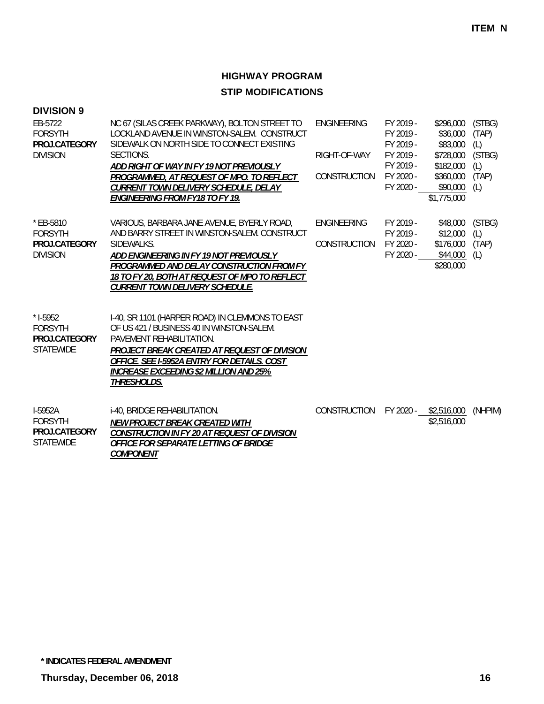| <b>DIVISION 9</b>                                                 |                                                                                                                                                                                                                                                                                  |                             |                                                  |                                                   |                                  |
|-------------------------------------------------------------------|----------------------------------------------------------------------------------------------------------------------------------------------------------------------------------------------------------------------------------------------------------------------------------|-----------------------------|--------------------------------------------------|---------------------------------------------------|----------------------------------|
| EB-5722<br><b>FORSYTH</b><br>PROJ.CATEGORY<br><b>DIVISION</b>     | NC 67 (SILAS CREEK PARKWAY), BOLTON STREET TO<br>LOCKLAND AVENUE IN WINSTON-SALEM. CONSTRUCT<br>SIDEWALK ON NORTH SIDE TO CONNECT EXISTING<br>SECTIONS.                                                                                                                          | ENGINEERING<br>RIGHT-OF-WAY | FY 2019 -<br>FY 2019 -<br>FY 2019 -<br>FY 2019 - | \$296,000<br>\$36,000<br>\$83,000<br>\$728,000    | (STBG)<br>(TAP)<br>(L)<br>(STBG) |
|                                                                   | ADD RIGHT OF WAY IN FY 19 NOT PREVIOUSLY<br>PROGRAMMED, AT REQUEST OF MPO. TO REFLECT<br>CURRENT TOWN DELIVERY SCHEDULE, DELAY<br><b>ENGINEERING FROM FY18 TO FY 19.</b>                                                                                                         | <b>CONSTRUCTION</b>         | FY 2019 -<br>FY 2020 -<br>FY 2020 -              | \$182,000<br>\$360,000<br>\$90,000<br>\$1,775,000 | (L)<br>(TAP)<br>(L)              |
| * EB-5810<br><b>FORSYTH</b>                                       | VARIOUS, BARBARA JANE AVENUE, BYERLY ROAD,<br>AND BARRY STREET IN WINSTON-SALEM. CONSTRUCT                                                                                                                                                                                       | <b>ENGINEERING</b>          | FY 2019 -<br>FY 2019 -                           | \$48,000<br>\$12,000                              | (STBG)<br>(L)                    |
| PROJ.CATEGORY<br><b>DIVISION</b>                                  | SIDEWALKS.<br>ADD ENGINEERING IN FY 19 NOT PREVIOUSLY<br>PROGRAMMED AND DELAY CONSTRUCTION FROM FY<br>18 TO FY 20, BOTH AT REQUEST OF MPO TO REFLECT<br><b>CURRENT TOWN DELIVERY SCHEDULE.</b>                                                                                   | CONSTRUCTION                | FY 2020 -<br>FY 2020 -                           | \$176,000<br>\$44,000<br>\$280,000                | (TAP)<br>(L)                     |
| $*$ 1-5952<br><b>FORSYTH</b><br>PROJ.CATEGORY<br><b>STATEWIDE</b> | I-40, SR 1101 (HARPER ROAD) IN CLEMMONS TO EAST<br>OF US 421 / BUSINESS 40 IN WINSTON-SALEM.<br>PAVEMENT REHABILITATION.<br>PROJECT BREAK CREATED AT REQUEST OF DIVISION<br>OFFICE. SEE I-5952A ENTRY FOR DETAILS. COST<br>INCREASE EXCEEDING \$2 MILLION AND 25%<br>THRESHOLDS. |                             |                                                  |                                                   |                                  |
| I-5952A<br><b>FORSYTH</b><br>PROJ.CATEGORY<br><b>STATEWIDE</b>    | i-40, BRIDGE REHABILITATION.<br>NEW PROJECT BREAK CREATED WITH<br>CONSTRUCTION IN FY 20 AT REQUEST OF DIVISION<br>OFFICE FOR SEPARATE LETTING OF BRIDGE<br>COMPONENT                                                                                                             | CONSTRUCTION                |                                                  | FY 2020 - \$2,516,000<br>\$2,516,000              | (NHPIM)                          |

**\* INDICATES FEDERAL AMENDMENT**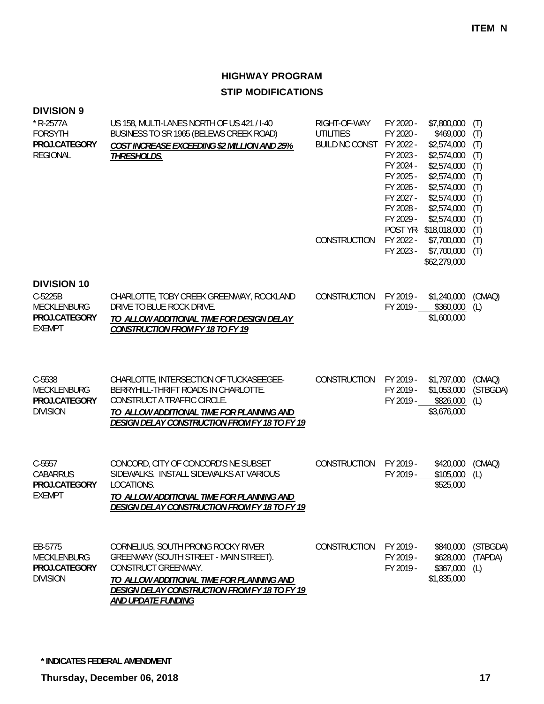### **DIVISION 9**

| $*$ R-2577A<br><b>FORSYTH</b><br>PROJ.CATEGORY<br><b>REGIONAL</b>              | US 158, MULTI-LANES NORTH OF US 421 / I-40<br>BUSINESS TO SR 1965 (BELEWS CREEK ROAD)<br><b>COST INCREASE EXCEEDING \$2 MILLION AND 25%</b><br>THRESHOLDS.                                                              | RIGHT-OF-WAY<br><b>UTILITIES</b><br><b>BUILD NC CONST</b><br>CONSTRUCTION | FY 2020 -<br>FY 2020 -<br>FY 2022 -<br>FY 2023 -<br>FY 2024 -<br>FY 2025 -<br>FY 2026 -<br>FY 2027 -<br>FY 2028 -<br>FY 2029 -<br>FY 2022 - | \$7,800,000<br>\$469,000<br>\$2,574,000<br>\$2,574,000<br>\$2,574,000<br>\$2,574,000<br>\$2,574,000<br>\$2,574,000<br>\$2,574,000<br>\$2,574,000<br>POST YR-\$18,018,000<br>\$7,700,000<br>FY 2023 - \$7,700,000<br>\$62,279,000 | (T)<br>(T)<br>(T)<br>(T)<br>(T)<br>(T)<br>(T)<br>(T)<br>(T)<br>(T)<br>(T)<br>(T)<br>(T) |
|--------------------------------------------------------------------------------|-------------------------------------------------------------------------------------------------------------------------------------------------------------------------------------------------------------------------|---------------------------------------------------------------------------|---------------------------------------------------------------------------------------------------------------------------------------------|----------------------------------------------------------------------------------------------------------------------------------------------------------------------------------------------------------------------------------|-----------------------------------------------------------------------------------------|
| <b>DIVISION 10</b><br>C-5225B<br>MECKLENBURG<br>PROJ.CATEGORY<br><b>EXEMPT</b> | CHARLOTTE, TOBY CREEK GREENWAY, ROCKLAND<br>DRIVE TO BLUE ROCK DRIVE.<br>TO ALLOW ADDITIONAL TIME FOR DESIGN DELAY<br><b>CONSTRUCTION FROM FY 18 TO FY 19</b>                                                           | CONSTRUCTION                                                              | FY 2019 -<br>FY 2019 -                                                                                                                      | \$1,240,000<br>\$360,000<br>\$1,600,000                                                                                                                                                                                          | (CMAQ)<br>(L)                                                                           |
| C-5538<br>MECKLENBURG<br>PROJ.CATEGORY<br><b>DIVISION</b>                      | CHARLOTTE, INTERSECTION OF TUCKASEEGEE-<br>BERRYHILL-THRIFT ROADS IN CHARLOTTE.<br>CONSTRUCT A TRAFFIC CIRCLE.<br>TO ALLOW ADDITIONAL TIME FOR PLANNING AND<br><b>DESIGN DELAY CONSTRUCTION FROM FY 18 TO FY 19</b>     | CONSTRUCTION                                                              | FY 2019 -<br>FY 2019 -<br>FY 2019 -                                                                                                         | \$1,797,000<br>\$1,053,000<br>\$826,000<br>\$3,676,000                                                                                                                                                                           | (CMAQ)<br>(STBGDA)<br>(L)                                                               |
| $C-5557$<br><b>CABARRUS</b><br>PROJ.CATEGORY<br><b>EXEMPT</b>                  | CONCORD, CITY OF CONCORD'S NE SUBSET<br>SIDEWALKS. INSTALL SIDEWALKS AT VARIOUS<br>LOCATIONS.<br>TO ALLOW ADDITIONAL TIME FOR PLANNING AND<br><b>DESIGN DELAY CONSTRUCTION FROM FY 18 TO FY 19</b>                      | CONSTRUCTION                                                              | FY 2019 -<br>FY 2019 -                                                                                                                      | \$420,000<br>\$105,000<br>\$525,000                                                                                                                                                                                              | (CMAQ)<br>(L)                                                                           |
| EB-5775<br>MECKLENBURG<br>PROJ.CATEGORY<br><b>DIVISION</b>                     | CORNELIUS, SOUTH PRONG ROCKY RIVER<br>GREENWAY (SOUTH STREET - MAIN STREET).<br>CONSTRUCT GREENWAY.<br>TO ALLOW ADDITIONAL TIME FOR PLANNING AND<br>DESIGN DELAY CONSTRUCTION FROM FY 18 TO FY 19<br>AND UPDATE FUNDING | <b>CONSTRUCTION</b>                                                       | FY 2019 -<br>FY 2019 -<br>FY 2019 -                                                                                                         | \$840,000<br>\$628,000<br>\$367,000<br>\$1,835,000                                                                                                                                                                               | (STBGDA)<br>(TAPDA)<br>(L)                                                              |

**\* INDICATES FEDERAL AMENDMENT**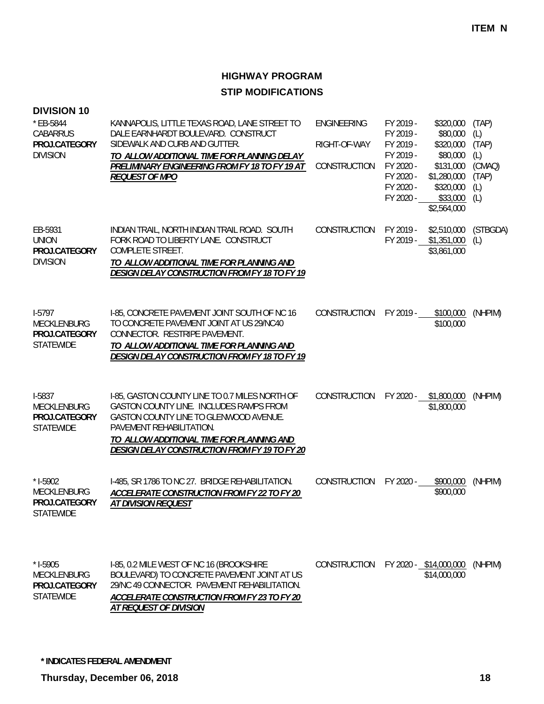| <b>DIVISION 10</b><br>* EB-5844<br>CABARRUS<br>PROJ.CATEGORY<br><b>DIVISION</b> | KANNAPOLIS, LITTLE TEXAS ROAD, LANE STREET TO<br>DALE EARNHARDT BOULEVARD. CONSTRUCT<br>SIDEWALK AND CURB AND GUTTER.<br>TO ALLOW ADDITIONAL TIME FOR PLANNING DELAY<br>PRELIMINARY ENGINEERING FROM FY 18 TO FY 19 AT<br><b>REQUEST OF MPO</b>               | <b>ENGINEERING</b><br>RIGHT-OF-WAY<br>CONSTRUCTION | FY 2019 -<br>\$320,000<br>FY 2019 -<br>\$80,000<br>FY 2019 -<br>\$320,000<br>FY 2019 -<br>\$80,000<br>FY 2020 -<br>\$131,000<br>FY 2020 -<br>\$1,280,000<br>FY 2020 -<br>\$320,000<br>FY 2020 -<br>\$33,000<br>\$2,564,000 | (TAP)<br>(L)<br>(TAP)<br>(L)<br>(CMAQ)<br>(TAP)<br>(L)<br>(L) |
|---------------------------------------------------------------------------------|---------------------------------------------------------------------------------------------------------------------------------------------------------------------------------------------------------------------------------------------------------------|----------------------------------------------------|----------------------------------------------------------------------------------------------------------------------------------------------------------------------------------------------------------------------------|---------------------------------------------------------------|
| EB-5931<br><b>UNION</b><br>PROJ.CATEGORY<br><b>DIVISION</b>                     | INDIAN TRAIL, NORTH INDIAN TRAIL ROAD. SOUTH<br>FORK ROAD TO LIBERTY LANE. CONSTRUCT<br>COMPLETE STREET.<br>TO ALLOW ADDITIONAL TIME FOR PLANNING AND<br><b>DESIGN DELAY CONSTRUCTION FROM FY 18 TO FY 19</b>                                                 | CONSTRUCTION                                       | FY 2019 -<br>\$2,510,000<br>FY 2019 - \$1,351,000<br>\$3,861,000                                                                                                                                                           | (STBGDA)<br>(L)                                               |
| $1-5797$<br>MECKLENBURG<br>PROJ.CATEGORY<br><b>STATEWIDE</b>                    | I-85, CONCRETE PAVEMENT JOINT SOUTH OF NC 16<br>TO CONCRETE PAVEMENT JOINT AT US 29/NC40<br>CONNECTOR. RESTRIPE PAVEMENT.<br>TO ALLOW ADDITIONAL TIME FOR PLANNING AND<br><b>DESIGN DELAY CONSTRUCTION FROM FY 18 TO FY 19</b>                                | CONSTRUCTION                                       | FY 2019 -<br>\$100,000<br>\$100,000                                                                                                                                                                                        | (NHPIM)                                                       |
| I-5837<br>MECKLENBURG<br>PROJ.CATEGORY<br><b>STATEWIDE</b>                      | I-85, GASTON COUNTY LINE TO 0.7 MILES NORTH OF<br>GASTON COUNTY LINE. INCLUDES RAMPS FROM<br>GASTON COUNTY LINE TO GLENWOOD AVENUE.<br>PAVEMENT REHABILITATION.<br>TO ALLOW ADDITIONAL TIME FOR PLANNING AND<br>DESIGN DELAY CONSTRUCTION FROM FY 19 TO FY 20 | CONSTRUCTION                                       | FY 2020 - \$1,800,000<br>\$1,800,000                                                                                                                                                                                       | (NHPIM)                                                       |
| $*$ 1-5902<br>MECKLENBURG<br>PROJ.CATEGORY<br><b>STATEWIDE</b>                  | I-485, SR 1786 TO NC 27. BRIDGE REHABILITATION.<br>ACCELERATE CONSTRUCTION FROM FY 22 TO FY 20<br><u>AT DIVISION REQUEST</u>                                                                                                                                  | CONSTRUCTION                                       | FY 2020 -<br>\$900,000<br>\$900,000                                                                                                                                                                                        | (NHPIM)                                                       |
| $*$ 1-5905<br><b>MECKLENBURG</b><br>PROJ.CATEGORY<br><b>STATEWIDE</b>           | I-85, 0.2 MILE WEST OF NC 16 (BROOKSHIRE<br>BOULEVARD) TO CONCRETE PAVEMENT JOINT AT US<br>29/NC 49 CONNECTOR. PAVEMENT REHABILITATION.<br>ACCELERATE CONSTRUCTION FROM FY 23 TO FY 20<br>AT REQUEST OF DIVISION                                              | CONSTRUCTION                                       | FY 2020 - \$14,000,000<br>\$14,000,000                                                                                                                                                                                     | (NHPIM)                                                       |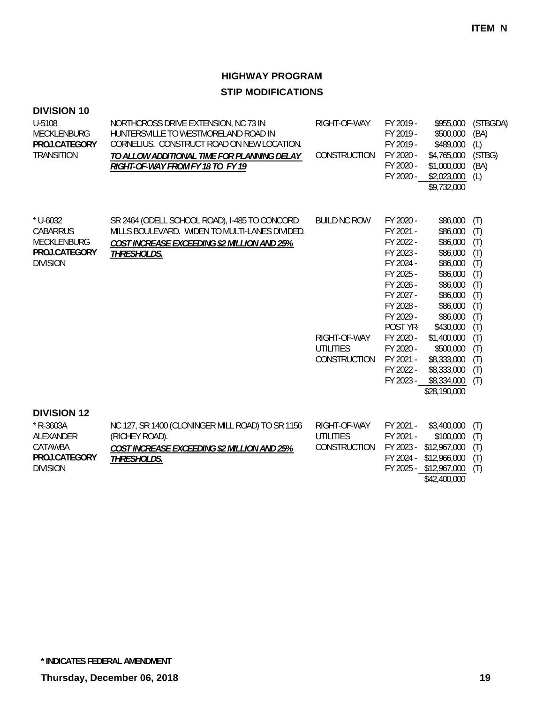| <b>DIVISION 10</b><br>U-5108<br><b>MECKLENBURG</b><br>PROJ.CATEGORY<br><b>TRANSITION</b>      | NORTHCROSS DRIVE EXTENSION, NC 73 IN<br>HUNTERSVILLE TO WESTMORELAND ROAD IN<br>CORNELIUS. CONSTRUCT ROAD ON NEW LOCATION.<br>TO ALLOW ADDITIONAL TIME FOR PLANNING DELAY<br>RIGHT-OF-WAY FROM FY 18 TO FY 19 | RIGHT-OF-WAY<br>CONSTRUCTION                                            | FY 2019 -<br>FY 2019 -<br>FY 2019 -<br>FY 2020 -<br>FY 2020 -<br>FY 2020 -                                                                                                                     | \$955,000<br>\$500,000<br>\$489,000<br>\$4,765,000<br>\$1,000,000<br>\$2,023,000<br>\$9,732,000                                                                                                                                      | (STBGDA)<br>(BA)<br>(L)<br>(STBG)<br>(BA)<br>(L)                                                             |
|-----------------------------------------------------------------------------------------------|---------------------------------------------------------------------------------------------------------------------------------------------------------------------------------------------------------------|-------------------------------------------------------------------------|------------------------------------------------------------------------------------------------------------------------------------------------------------------------------------------------|--------------------------------------------------------------------------------------------------------------------------------------------------------------------------------------------------------------------------------------|--------------------------------------------------------------------------------------------------------------|
| $*$ U-6032<br><b>CABARRUS</b><br><b>MECKLENBURG</b><br>PROJ.CATEGORY<br><b>DIVISION</b>       | SR 2464 (ODELL SCHOOL ROAD), I-485 TO CONCORD<br>MILLS BOULEVARD. WIDEN TO MULTI-LANES DIVIDED.<br>COST INCREASE EXCEEDING \$2 MILLION AND 25%<br>THRESHOLDS.                                                 | <b>BUILD NC ROW</b><br>RIGHT-OF-WAY<br><b>UTILITIES</b><br>CONSTRUCTION | FY 2020 -<br>FY 2021 -<br>FY 2022 -<br>FY 2023 -<br>FY 2024 -<br>FY 2025 -<br>FY 2026 -<br>FY 2027 -<br>FY 2028 -<br>FY 2029 -<br>POST YR-<br>FY 2020 -<br>FY 2020 -<br>FY 2021 -<br>FY 2022 - | \$86,000<br>\$86,000<br>\$86,000<br>\$86,000<br>\$86,000<br>\$86,000<br>\$86,000<br>\$86,000<br>\$86,000<br>\$86,000<br>\$430,000<br>\$1,400,000<br>\$500,000<br>\$8,333,000<br>\$8,333,000<br>FY 2023 - \$8,334,000<br>\$28,190,000 | (T)<br>(T)<br>(T)<br>(T)<br>(T)<br>(T)<br>(T)<br>(T)<br>(T)<br>(T)<br>(T)<br>(T)<br>(T)<br>(T)<br>(T)<br>(T) |
| <b>DIVISION 12</b><br>$*$ R-3603A<br>ALEXANDER<br>CATAWBA<br>PROJ.CATEGORY<br><b>DIVISION</b> | NC 127, SR 1400 (CLONINGER MILL ROAD) TO SR 1156<br>(RICHEY ROAD).<br><b>COST INCREASE EXCEEDING \$2 MILLION AND 25%</b><br>THRESHOLDS.                                                                       | RIGHT-OF-WAY<br><b>UTILITIES</b><br>CONSTRUCTION                        | FY 2021 -<br>FY 2021 -<br>FY 2023 -<br>FY 2024 -                                                                                                                                               | \$3,400,000<br>\$100,000<br>\$12,967,000<br>\$12,966,000<br>FY 2025 - \$12,967,000                                                                                                                                                   | (T)<br>(T)<br>(T)<br>(T)<br>(T)                                                                              |

 $$42,400,000$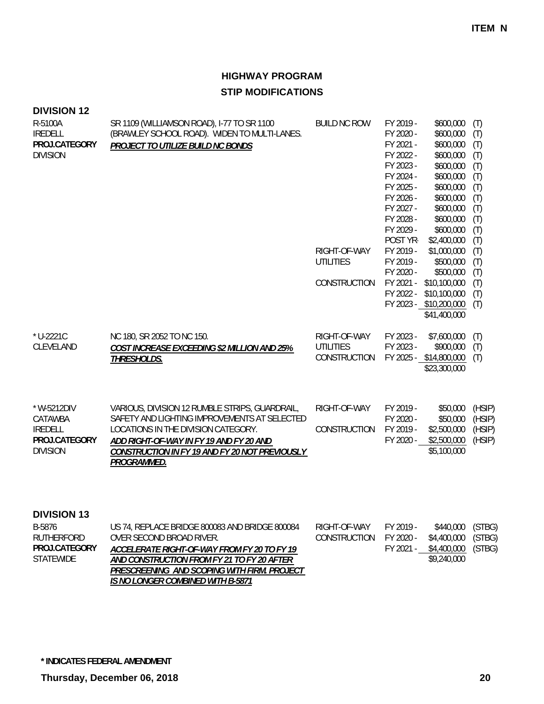| <b>DIVISION 12</b><br>R-5100A<br><b>IREDELL</b><br>PROJ.CATEGORY<br><b>DIVISION</b> | SR 1109 (WILLIAMSON ROAD), I-77 TO SR 1100<br>(BRAWLEY SCHOOL ROAD). WIDEN TO MULTI-LANES.<br>PROJECT TO UTILIZE BUILD NC BONDS                                                                                                                   | <b>BUILD NC ROW</b><br>RIGHT-OF-WAY              | FY 2019 -<br>FY 2020 -<br>FY 2021 -<br>FY 2022 -<br>FY 2023 -<br>FY 2024 -<br>FY 2025 -<br>FY 2026 -<br>FY 2027 -<br>FY 2028 -<br>FY 2029 -<br>POST YR-<br>FY 2019 - | \$600,000<br>\$600,000<br>\$600,000<br>\$600,000<br>\$600,000<br>\$600,000<br>\$600,000<br>\$600,000<br>\$600,000<br>\$600,000<br>\$600,000<br>\$2,400,000<br>\$1,000,000 | (T)<br>(T)<br>(T)<br>(T)<br>(T)<br>(T)<br>(T)<br>(T)<br>(T)<br>(T)<br>(T)<br>(T)<br>(T) |
|-------------------------------------------------------------------------------------|---------------------------------------------------------------------------------------------------------------------------------------------------------------------------------------------------------------------------------------------------|--------------------------------------------------|----------------------------------------------------------------------------------------------------------------------------------------------------------------------|---------------------------------------------------------------------------------------------------------------------------------------------------------------------------|-----------------------------------------------------------------------------------------|
|                                                                                     |                                                                                                                                                                                                                                                   | <b>UTILITIES</b><br>CONSTRUCTION                 | FY 2019 -<br>FY 2020 -<br>FY 2021 -<br>FY 2022 -                                                                                                                     | \$500,000<br>\$500,000<br>\$10,100,000<br>\$10,100,000<br>FY 2023 - \$10,200,000<br>\$41,400,000                                                                          | (T)<br>(T)<br>(T)<br>(T)<br>(T)                                                         |
| * U-2221C<br><b>CLEVELAND</b>                                                       | NC 180, SR 2052 TO NC 150.<br>COST INCREASE EXCEEDING \$2 MILLION AND 25%<br><b>THRESHOLDS.</b>                                                                                                                                                   | RIGHT-OF-WAY<br><b>UTILITIES</b><br>CONSTRUCTION | FY 2023 -<br>FY 2023 -                                                                                                                                               | \$7,600,000<br>\$900,000<br>FY 2025 - \$14,800,000<br>\$23,300,000                                                                                                        | (T)<br>(T)<br>(T)                                                                       |
| * W-5212DIV<br>CATAWBA<br><b>IREDELL</b><br>PROJ.CATEGORY<br><b>DIVISION</b>        | VARIOUS, DIVISION 12 RUMBLE STRIPS, GUARDRAIL,<br>SAFETY AND LIGHTING IMPROVEMENTS AT SELECTED<br>LOCATIONS IN THE DIVISION CATEGORY.<br>ADD RIGHT-OF-WAY IN FY 19 AND FY 20 AND<br>CONSTRUCTION IN FY 19 AND FY 20 NOT PREVIOUSLY<br>PROGRAMMED. | RIGHT-OF-WAY<br>CONSTRUCTION                     | FY 2019 -<br>FY 2020 -<br>FY 2019 -<br>FY 2020 -                                                                                                                     | \$50,000<br>\$50,000<br>\$2,500,000<br>\$2,500,000<br>\$5,100,000                                                                                                         | (HSIP)<br>(HSIP)<br>(HSIP)<br>(HSIP)                                                    |

### **DIVISION 13**

| B-5876            | US 74, REPLACE BRIDGE 800083 AND BRIDGE 800084 | RIGHT-OF-WAY | FY 2019 - | \$440,000 (STBG)   |  |
|-------------------|------------------------------------------------|--------------|-----------|--------------------|--|
| <b>RUTHERFORD</b> | OVER SECOND BROAD RIVER.                       | CONSTRUCTION | FY 2020 - | \$4,400,000 (STBG) |  |
| PROJ.CATEGORY     | ACCELERATE RIGHT-OF-WAY FROM FY 20 TO FY 19    |              | FY 2021 - | \$4,400,000 (STBG) |  |
| STATEWIDE         | AND CONSTRUCTION FROM FY 21 TO FY 20 AFTER     |              |           | \$9,240,000        |  |
|                   | PRESCREENING AND SCOPING WITH FIRM. PROJECT    |              |           |                    |  |
|                   | IS NO LONGER COMBINED WITH B-5871              |              |           |                    |  |

**\* INDICATES FEDERAL AMENDMENT**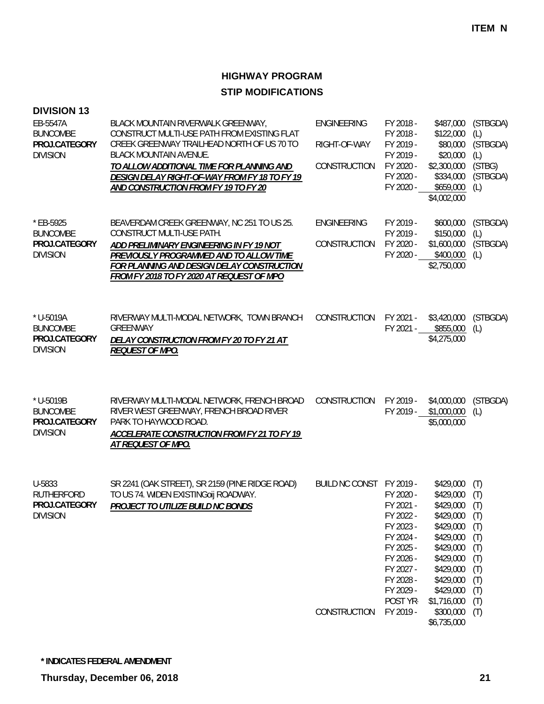| <b>DIVISION 13</b>                                               |                                                                                                                                                                                                                                                                                                        |                                                    |                                                                                                                                                         |                                                                                                                                                                         |                                                                                         |
|------------------------------------------------------------------|--------------------------------------------------------------------------------------------------------------------------------------------------------------------------------------------------------------------------------------------------------------------------------------------------------|----------------------------------------------------|---------------------------------------------------------------------------------------------------------------------------------------------------------|-------------------------------------------------------------------------------------------------------------------------------------------------------------------------|-----------------------------------------------------------------------------------------|
| EB-5547A<br><b>BUNCOMBE</b><br>PROJ.CATEGORY<br><b>DIVISION</b>  | BLACK MOUNTAIN RIVERWALK GREENWAY,<br>CONSTRUCT MULTI-USE PATH FROM EXISTING FLAT<br>CREEK GREENWAY TRAILHEAD NORTH OF US 70 TO<br><b>BLACK MOUNTAIN AVENUE.</b><br>TO ALLOW ADDITIONAL TIME FOR PLANNING AND<br>DESIGN DELAY RIGHT-OF-WAY FROM FY 18 TO FY 19<br>AND CONSTRUCTION FROM FY 19 TO FY 20 | <b>ENGINEERING</b><br>RIGHT-OF-WAY<br>CONSTRUCTION | FY 2018 -<br>FY 2018 -<br>FY 2019 -<br>FY 2019 -<br>FY 2020 -<br>FY 2020 -<br>FY 2020 -                                                                 | \$487,000<br>\$122,000<br>\$80,000<br>\$20,000<br>\$2,300,000<br>\$334,000<br>\$659,000<br>\$4,002,000                                                                  | (STBGDA)<br>(L)<br>(STBGDA)<br>(L)<br>(STBG)<br>(STBGDA)<br>(L)                         |
| * EB-5925<br><b>BUNCOMBE</b><br>PROJ.CATEGORY<br><b>DIVISION</b> | BEAVERDAM CREEK GREENWAY, NC 251 TO US 25.<br>CONSTRUCT MULTI-USE PATH.<br>ADD PRELIMINARY ENGINEERING IN FY 19 NOT<br>PREVIOUSLY PROGRAMMED AND TO ALLOW TIME<br>FOR PLANNING AND DESIGN DELAY CONSTRUCTION<br>FROM FY 2018 TO FY 2020 AT REQUEST OF MPO                                              | <b>ENGINEERING</b><br>CONSTRUCTION                 | FY 2019 -<br>FY 2019 -<br>FY 2020 -<br>FY 2020 -                                                                                                        | \$600,000<br>\$150,000<br>\$1,600,000<br>\$400,000<br>\$2,750,000                                                                                                       | (STBGDA)<br>(L)<br>(STBGDA)<br>(L)                                                      |
| * U-5019A<br><b>BUNCOMBE</b><br>PROJ.CATEGORY<br><b>DIVISION</b> | RIVERWAY MULTI-MODAL NETWORK, TOWN BRANCH<br><b>GREENWAY</b><br>DELAY CONSTRUCTION FROM FY 20 TO FY 21 AT<br><b>REQUEST OF MPO.</b>                                                                                                                                                                    | CONSTRUCTION                                       | FY 2021 -                                                                                                                                               | \$3,420,000<br>FY 2021 - \$855,000<br>\$4,275,000                                                                                                                       | (STBGDA)<br>(L)                                                                         |
| * U-5019B<br><b>BUNCOMBE</b><br>PROJ.CATEGORY<br><b>DIVISION</b> | RIVERWAY MULTI-MODAL NETWORK, FRENCH BROAD<br>RIVER WEST GREENWAY, FRENCH BROAD RIVER<br>PARK TO HAYWOOD ROAD.<br><b>ACCELERATE CONSTRUCTION FROM FY 21 TO FY 19</b><br>AT REQUEST OF MPO.                                                                                                             | CONSTRUCTION                                       | FY 2019 -<br>FY 2019 -                                                                                                                                  | \$4,000,000<br>\$1,000,000<br>\$5,000,000                                                                                                                               | (STBGDA)<br>(L)                                                                         |
| U-5833<br><b>RUTHERFORD</b><br>PROJ.CATEGORY<br><b>DIVISION</b>  | SR 2241 (OAK STREET), SR 2159 (PINE RIDGE ROAD)<br>TO US 74. WIDEN EXISTING0ij ROADWAY.<br>PROJECT TO UTILIZE BUILD NC BONDS                                                                                                                                                                           | BUILD NC CONST FY 2019 -<br>CONSTRUCTION           | FY 2020 -<br>FY 2021 -<br>FY 2022 -<br>FY 2023 -<br>FY 2024 -<br>FY 2025 -<br>FY 2026 -<br>FY 2027 -<br>FY 2028 -<br>FY 2029 -<br>POST YR-<br>FY 2019 - | \$429,000<br>\$429,000<br>\$429,000<br>\$429,000<br>\$429,000<br>\$429,000<br>\$429,000<br>\$429,000<br>\$429,000<br>\$429,000<br>\$429,000<br>\$1,716,000<br>\$300,000 | (T)<br>(T)<br>(T)<br>(T)<br>(T)<br>(T)<br>(T)<br>(T)<br>(T)<br>(T)<br>(T)<br>(T)<br>(T) |
|                                                                  |                                                                                                                                                                                                                                                                                                        |                                                    |                                                                                                                                                         | \$6,735,000                                                                                                                                                             |                                                                                         |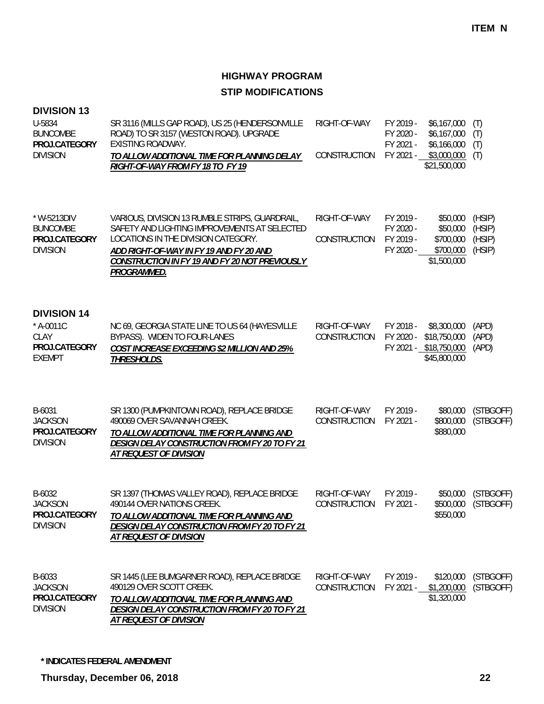#### **DIVISION 13**

| U-5834          | SR 3116 (MILLS GAP ROAD), US 25 (HENDERSONVILLE | RIGHT-OF-WAY           | FY 2019 - | \$6.167.000 (T) |  |
|-----------------|-------------------------------------------------|------------------------|-----------|-----------------|--|
| <b>BUNCOMBE</b> | ROAD) TO SR 3157 (WESTON ROAD). UPGRADE         |                        | FY 2020 - | \$6,167,000 (T) |  |
| PROJ.CATEGORY   | EXISTING ROADWAY.                               |                        | FY 2021 - | \$6.166.000 (T) |  |
| <b>DIVISION</b> | TO ALLOW ADDITIONAL TIME FOR PLANNING DELAY     | CONSTRUCTION FY 2021 - |           | \$3,000,000 (T) |  |
|                 | RIGHT-OF-WAY FROM FY 18 TO FY 19                |                        |           | \$21,500,000    |  |

| $*$ W-5213DIV | VARIOUS, DIVISION 13 RUMBLE STRIPS, GUARDRAIL, | RIGHT-OF-WAY | FY 2019 - | \$50,000    | (HSIP) |
|---------------|------------------------------------------------|--------------|-----------|-------------|--------|
| BUNCOMBE      | SAFETY AND LIGHTING IMPROVEMENTS AT SELECTED   |              | FY 2020 - | \$50,000    | (HSIP) |
| PROJ.CATEGORY | LOCATIONS IN THE DIVISION CATEGORY.            | CONSTRUCTION | FY 2019 - | \$700.000   | (HSIP) |
| DIVISION      | ADD RIGHT-OF-WAY IN FY 19 AND FY 20 AND        |              | FY 2020 - | \$700,000   | (HSIP) |
|               | CONSTRUCTION IN FY 19 AND FY 20 NOT PREVIOUSLY |              |           | \$1,500,000 |        |
|               | <i>PROGRAMMED.</i>                             |              |           |             |        |

### **DIVISION 14**

| $*$ A-0011C   | NC 69, GEORGIA STATE LINE TO US 64 (HAYESVILLE     | RIGHT-OF-WAY                              | FY 2018 - \$8,300,000 (APD)  |  |
|---------------|----------------------------------------------------|-------------------------------------------|------------------------------|--|
| CLAY          | BYPASS). WIDEN TO FOUR-LANES                       | CONSTRUCTION FY 2020 - \$18,750,000 (APD) |                              |  |
| PROJ.CATEGORY | <b>COST INCREASE EXCEEDING \$2 MILLION AND 25%</b> |                                           | FY 2021 - \$18,750,000 (APD) |  |
| FXFMPT        | <i>THRESHOLDS.</i>                                 |                                           | \$45,800,000                 |  |

| B-6031          | SR 1300 (PUMPKINTOWN ROAD), REPLACE BRIDGE    | RIGHT-OF-WAY           | FY 2019 - |           | \$80,000 (STBGOFF)  |
|-----------------|-----------------------------------------------|------------------------|-----------|-----------|---------------------|
| JACKSON         | 490069 OVER SAVANNAH CREEK.                   | CONSTRUCTION FY 2021 - |           |           | \$800,000 (STBGOFF) |
| PROJ.CATEGORY   | TO ALLOW ADDITIONAL TIME FOR PLANNING AND     |                        |           | \$880,000 |                     |
| <b>DIVISION</b> | DESIGN DELAY CONSTRUCTION FROM FY 20 TO FY 21 |                        |           |           |                     |
|                 | <i>AT REOUEST OF DIVISION</i>                 |                        |           |           |                     |

| B-6032          | SR 1397 (THOMAS VALLEY ROAD), REPLACE BRIDGE  | RIGHT-OF-WAY           | FY 2019 - |           | \$50,000 (STBGOFF)  |
|-----------------|-----------------------------------------------|------------------------|-----------|-----------|---------------------|
| <b>JACKSON</b>  | 490144 OVER NATIONS CREEK.                    | CONSTRUCTION FY 2021 - |           |           | \$500,000 (STBGOFF) |
| PROJ.CATEGORY   | TO ALLOW ADDITIONAL TIME FOR PLANNING AND     |                        |           | \$550,000 |                     |
| <b>DIVISION</b> | DESIGN DELAY CONSTRUCTION FROM FY 20 TO FY 21 |                        |           |           |                     |
|                 | <i>AT REQUEST OF DIVISION</i>                 |                        |           |           |                     |
|                 |                                               |                        |           |           |                     |

| B-6033        | SR 1445 (LEE BUMGARNER ROAD), REPLACE BRIDGE  | RIGHT-OF-WAY           | FY 2019 - |                       | \$120,000 (STBGOFF) |
|---------------|-----------------------------------------------|------------------------|-----------|-----------------------|---------------------|
| JACKSON       | 490129 OVER SCOTT CREEK.                      | CONSTRUCTION FY 2021 - |           | \$1,200,000 (STBGOFF) |                     |
| PROJ.CATEGORY | TO ALLOW ADDITIONAL TIME FOR PLANNING AND     |                        |           | \$1,320,000           |                     |
| DIVISION      | DESIGN DELAY CONSTRUCTION FROM FY 20 TO FY 21 |                        |           |                       |                     |
|               | <i>AT REQUEST OF DIVISION</i>                 |                        |           |                       |                     |

**\* INDICATES FEDERAL AMENDMENT**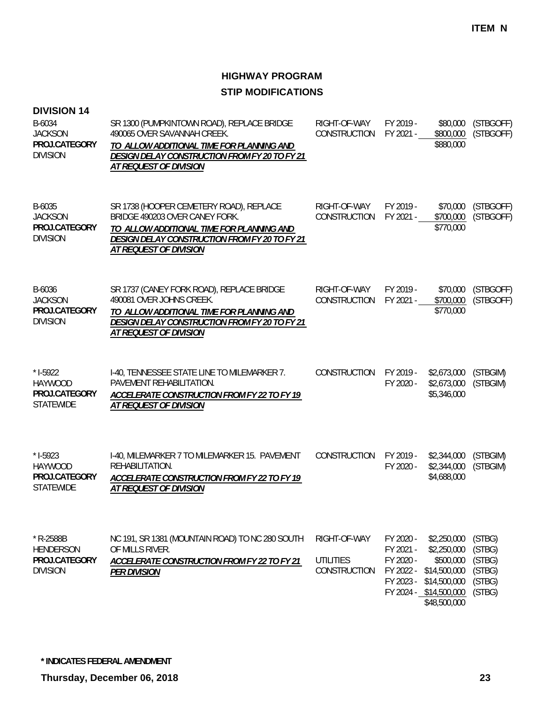| <b>DIVISION 14</b><br>B-6034<br><b>JACKSON</b><br>PROJ.CATEGORY<br><b>DIVISION</b> | SR 1300 (PUMPKINTOWN ROAD), REPLACE BRIDGE<br>490065 OVER SAVANNAH CREEK.<br>TO ALLOW ADDITIONAL TIME FOR PLANNING AND<br>DESIGN DELAY CONSTRUCTION FROM FY 20 TO FY 21<br>AT REQUEST OF DIVISION        | RIGHT-OF-WAY<br>CONSTRUCTION                     | FY 2019 -<br>FY 2021 -                                        | \$80,000<br>\$800,000<br>\$880,000                                                                                | (STBGOFF)<br>(STBGOFF)                                   |
|------------------------------------------------------------------------------------|----------------------------------------------------------------------------------------------------------------------------------------------------------------------------------------------------------|--------------------------------------------------|---------------------------------------------------------------|-------------------------------------------------------------------------------------------------------------------|----------------------------------------------------------|
| B-6035<br><b>JACKSON</b><br>PROJ.CATEGORY<br><b>DIVISION</b>                       | SR 1738 (HOOPER CEMETERY ROAD), REPLACE<br>BRIDGE 490203 OVER CANEY FORK.<br>TO ALLOW ADDITIONAL TIME FOR PLANNING AND<br>DESIGN DELAY CONSTRUCTION FROM FY 20 TO FY 21<br><b>AT REQUEST OF DIVISION</b> | RIGHT-OF-WAY<br>CONSTRUCTION                     | FY 2019 -<br>FY 2021 -                                        | \$70,000<br>\$700,000<br>\$770,000                                                                                | (STBGOFF)<br>(STBGOFF)                                   |
| B-6036<br><b>JACKSON</b><br>PROJ.CATEGORY<br><b>DIVISION</b>                       | SR 1737 (CANEY FORK ROAD), REPLACE BRIDGE<br>490081 OVER JOHNS CREEK.<br>TO ALLOW ADDITIONAL TIME FOR PLANNING AND<br>DESIGN DELAY CONSTRUCTION FROM FY 20 TO FY 21<br>AT REQUEST OF DIVISION            | RIGHT-OF-WAY<br>CONSTRUCTION                     | FY 2019 -<br>FY 2021 -                                        | \$70,000<br>\$700,000<br>\$770,000                                                                                | (STBGOFF)<br>(STBGOFF)                                   |
| $*$ 1-5922<br><b>HAYWOOD</b><br>PROJ.CATEGORY<br><b>STATEWIDE</b>                  | I-40, TENNESSEE STATE LINE TO MILEMARKER 7.<br>PAVEMENT REHABILITATION.<br>ACCELERATE CONSTRUCTION FROM FY 22 TO FY 19<br>AT REQUEST OF DIVISION                                                         | CONSTRUCTION                                     | FY 2019 -<br>FY 2020 -                                        | \$2,673,000<br>\$2,673,000<br>\$5,346,000                                                                         | (STBGIM)<br>(STBGIM)                                     |
| $*$ 1-5923<br><b>HAYWOOD</b><br>PROJ.CATEGORY<br><b>STATEWIDE</b>                  | I-40, MILEMARKER 7 TO MILEMARKER 15. PAVEMENT<br>REHABILITATION.<br>ACCELERATE CONSTRUCTION FROM FY 22 TO FY 19<br>AT REQUEST OF DIVISION                                                                | CONSTRUCTION                                     | FY 2019 -<br>FY 2020 -                                        | \$2,344,000<br>\$2,344,000<br>\$4,688,000                                                                         | (STBGIM)<br>(STBGIM)                                     |
| * R-2588B<br><b>HENDERSON</b><br>PROJ.CATEGORY<br><b>DIVISION</b>                  | NC 191, SR 1381 (MOUNTAIN ROAD) TO NC 280 SOUTH<br>OF MILLS RIVER.<br><b>ACCELERATE CONSTRUCTION FROM FY 22 TO FY 21</b><br><b>PER DIVISION</b>                                                          | RIGHT-OF-WAY<br><b>UTILITIES</b><br>CONSTRUCTION | FY 2020 -<br>FY 2021 -<br>FY 2020 -<br>FY 2022 -<br>FY 2023 - | \$2,250,000<br>\$2,250,000<br>\$500,000<br>\$14,500,000<br>\$14,500,000<br>FY 2024 - \$14,500,000<br>\$48,500,000 | (STBG)<br>(STBG)<br>(STBG)<br>(STBG)<br>(STBG)<br>(STBG) |

**\* INDICATES FEDERAL AMENDMENT**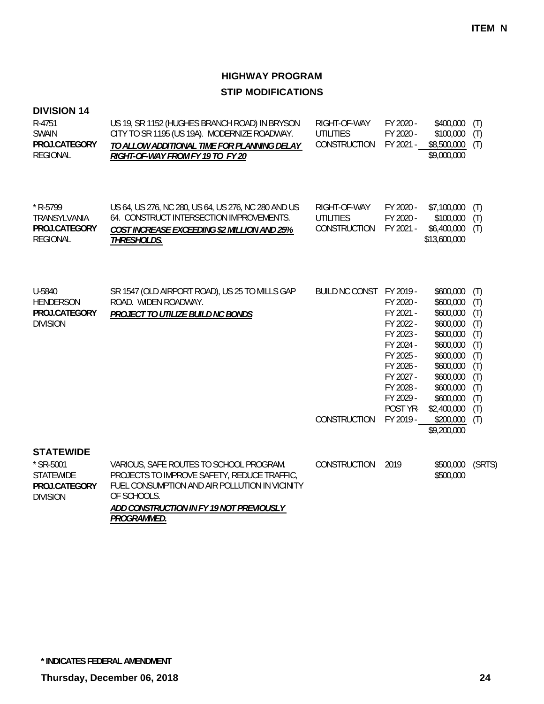| <b>DIVISION 14</b><br>R-4751<br><b>SWAIN</b><br>PROJ.CATEGORY<br><b>REGIONAL</b>      | US 19, SR 1152 (HUGHES BRANCH ROAD) IN BRYSON<br>CITY TO SR 1195 (US 19A). MODERNIZE ROADWAY.<br>TO ALLOW ADDITIONAL TIME FOR PLANNING DELAY<br>RIGHT-OF-WAY FROM FY 19 TO FY 20                                   | RIGHT-OF-WAY<br><b>UTILITIES</b><br>CONSTRUCTION | FY 2020 -<br>FY 2020 -<br>FY 2021 -                                                                                                                     | \$400,000<br>\$100,000<br>\$8,500,000<br>\$9,000,000                                                                                                                                   | (T)<br>(T)<br>(T)                                                                       |
|---------------------------------------------------------------------------------------|--------------------------------------------------------------------------------------------------------------------------------------------------------------------------------------------------------------------|--------------------------------------------------|---------------------------------------------------------------------------------------------------------------------------------------------------------|----------------------------------------------------------------------------------------------------------------------------------------------------------------------------------------|-----------------------------------------------------------------------------------------|
| * R-5799<br>TRANSYLVANIA<br>PROJ.CATEGORY<br><b>REGIONAL</b>                          | US 64, US 276, NC 280, US 64, US 276, NC 280 AND US<br>64. CONSTRUCT INTERSECTION IMPROVEMENTS.<br><b>COST INCREASE EXCEEDING \$2 MILLION AND 25%</b><br><b>THRESHOLDS.</b>                                        | RIGHT-OF-WAY<br><b>UTILITIES</b><br>CONSTRUCTION | FY 2020 -<br>FY 2020 -<br>FY 2021 -                                                                                                                     | \$7,100,000<br>\$100,000<br>\$6,400,000<br>\$13,600,000                                                                                                                                | (T)<br>(T)<br>(T)                                                                       |
| U-5840<br><b>HENDERSON</b><br>PROJ.CATEGORY<br><b>DIVISION</b>                        | SR 1547 (OLD AIRPORT ROAD), US 25 TO MILLS GAP<br>ROAD. WIDEN ROADWAY.<br>PROJECT TO UTILIZE BUILD NC BONDS                                                                                                        | BUILD NC CONST FY 2019 -<br>CONSTRUCTION         | FY 2020 -<br>FY 2021 -<br>FY 2022 -<br>FY 2023 -<br>FY 2024 -<br>FY 2025 -<br>FY 2026 -<br>FY 2027 -<br>FY 2028 -<br>FY 2029 -<br>POST YR-<br>FY 2019 - | \$600,000<br>\$600,000<br>\$600,000<br>\$600,000<br>\$600,000<br>\$600,000<br>\$600,000<br>\$600,000<br>\$600,000<br>\$600,000<br>\$600,000<br>\$2,400,000<br>\$200,000<br>\$9,200,000 | (T)<br>(T)<br>(T)<br>(T)<br>(T)<br>(T)<br>(T)<br>(T)<br>(T)<br>(T)<br>(T)<br>(T)<br>(T) |
| <b>STATEWIDE</b><br>* SR-5001<br><b>STATEWIDE</b><br>PROJ.CATEGORY<br><b>DIVISION</b> | VARIOUS, SAFE ROUTES TO SCHOOL PROGRAM.<br>PROJECTS TO IMPROVE SAFETY, REDUCE TRAFFIC,<br>FUEL CONSUMPTION AND AIR POLLUTION IN VICINITY<br>OF SCHOOLS.<br>ADD CONSTRUCTION IN FY 19 NOT PREVIOUSLY<br>PROGRAMMED. | <b>CONSTRUCTION</b>                              | 2019                                                                                                                                                    | \$500,000<br>\$500,000                                                                                                                                                                 | (SRTS)                                                                                  |

**\* INDICATES FEDERAL AMENDMENT**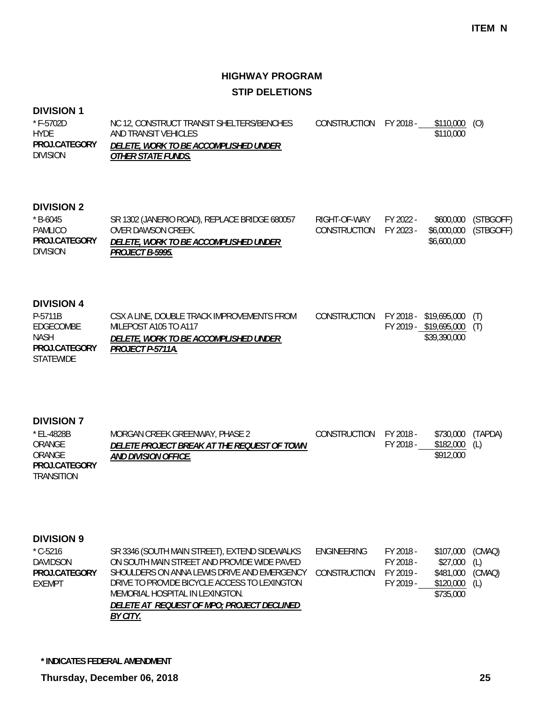### **HIGHWAY PROGRAM STIP DELETIONS**

#### **DIVISION 1**

| $*$ F-5702D<br><b>HYDF</b>       | NC 12, CONSTRUCT TRANSIT SHELTERS/BENCHES<br>AND TRANSIT VEHICLES         | CONSTRUCTION FY 2018 - | \$110,000 (O)<br>\$110,000 |  |
|----------------------------------|---------------------------------------------------------------------------|------------------------|----------------------------|--|
| PROJ.CATEGORY<br><b>DIVISION</b> | <i>DELETE, WORK TO BE ACCOMPLISHED UNDER</i><br><i>OTHER STATE FUNDS.</i> |                        |                            |  |

#### **DIVISION 2**

| $*$ B-6045<br>PAMLICO            | SR 1302 (JANERIO ROAD), REPLACE BRIDGE 680057<br>OVER DAWSON CREEK.    | RIGHT-OF-WAY<br>CONSTRUCTION FY 2023 - | FY 2022 - | \$6,000,000 (STBGOFF) | \$600,000 (STBGOFF) |
|----------------------------------|------------------------------------------------------------------------|----------------------------------------|-----------|-----------------------|---------------------|
| PROJ.CATEGORY<br><b>DIVISION</b> | <i>DELETE, WORK TO BE ACCOMPLISHED UNDER</i><br><i>PROJECT B-5995.</i> |                                        |           | \$6,600,000           |                     |

#### **DIVISION 4**

| P-5711B          | CSX A LINE, DOUBLE TRACK IMPROVEMENTS FROM   | CONSTRUCTION FY 2018 - \$19,695,000 (T) |                            |  |
|------------------|----------------------------------------------|-----------------------------------------|----------------------------|--|
| EDGECOMBE        | MILEPOST A105 TO A117                        |                                         | FY 2019 - \$19,695,000 (T) |  |
| <b>NASH</b>      | <i>DELETE. WORK TO BE ACCOMPLISHED UNDER</i> |                                         | \$39.390.000               |  |
| PROJ.CATEGORY    | PROJECT P-5711A.                             |                                         |                            |  |
| <b>STATEWIDE</b> |                                              |                                         |                            |  |

#### **DIVISION 7**

| * EL-4828B    | MORGAN CREEK GREENWAY, PHASE 2              | CONSTRUCTION | FY 2018 - | \$730,000 | (TAPDA) |
|---------------|---------------------------------------------|--------------|-----------|-----------|---------|
| ORANGE        | DELETE PROJECT BREAK AT THE REOUEST OF TOWN |              | FY 2018 - | \$182,000 | (L)     |
| ORANGE        | <i>AND DIVISION OFFICE.</i>                 |              |           | \$912,000 |         |
| PROJ.CATEGORY |                                             |              |           |           |         |
|               |                                             |              |           |           |         |

TRANSITION

#### **DIVISION 9**

| $^*$ C-5216   | SR 3346 (SOUTH MAIN STREET), EXTEND SIDEWALKS | ENGINEERING  | FY 2018 - | \$107,000 | (CMAQ) |
|---------------|-----------------------------------------------|--------------|-----------|-----------|--------|
| DAVIDSON      | ON SOUTH MAIN STREET AND PROVIDE WIDE PAVED   |              | FY 2018 - | \$27,000  | (L)    |
| PROJ.CATEGORY | SHOULDERS ON ANNA LEWIS DRIVE AND EMERGENCY   | CONSTRUCTION | FY 2019 - | \$481,000 | (CMAQ) |
| FXFMPT        | DRIVE TO PROVIDE BICYCLE ACCESS TO LEXINGTON  |              | FY 2019 - | \$120,000 | (L)    |
|               | MEMORIAL HOSPITAL IN LEXINGTON.               |              |           | \$735,000 |        |
|               | DELETE AT REQUEST OF MPO; PROJECT DECLINED    |              |           |           |        |
|               | BY CITY.                                      |              |           |           |        |